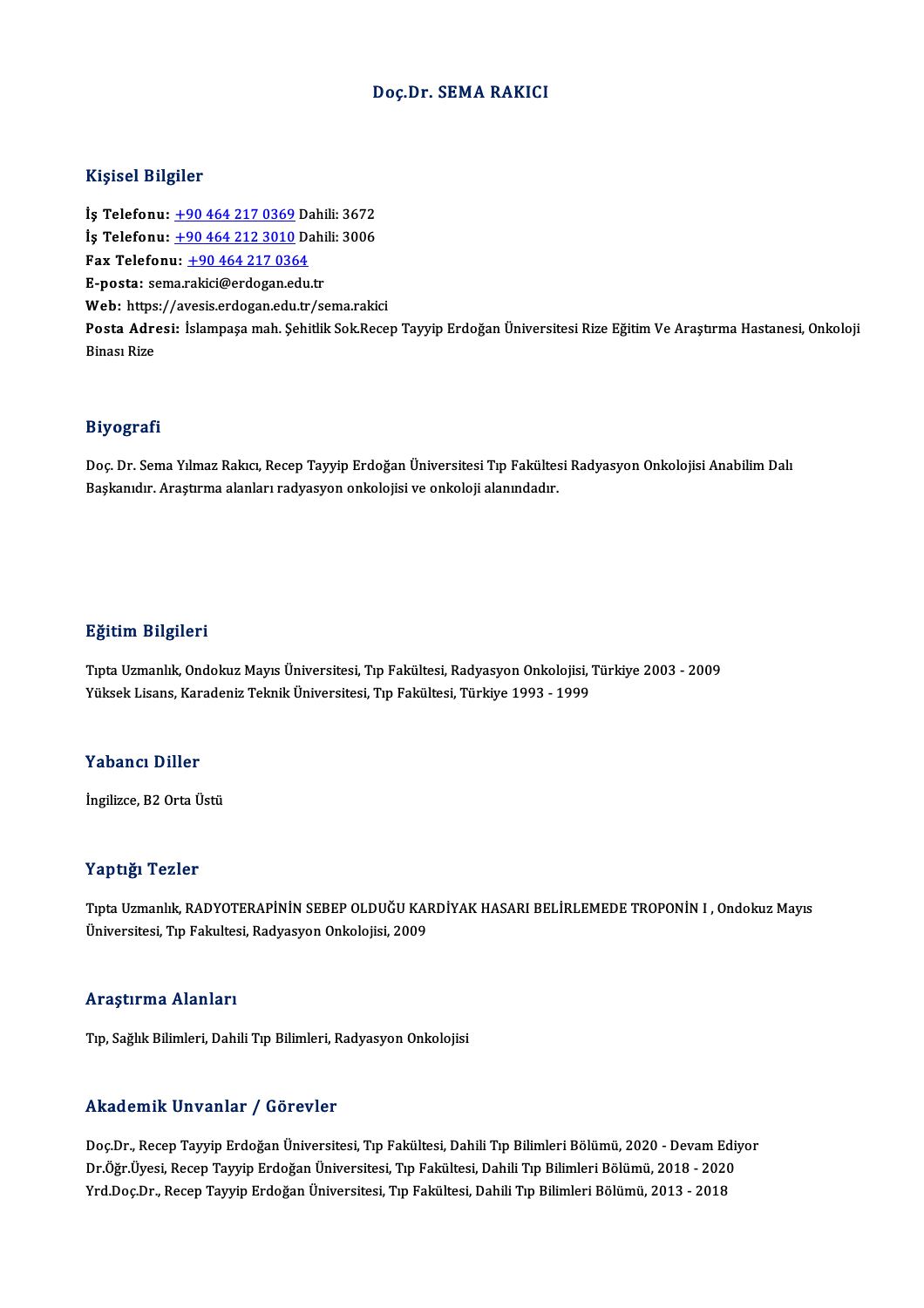#### Doç.Dr. SEMA RAKICI

#### Kişisel Bilgiler

Kişisel Bilgiler<br>İş Telefonu: <u>+90 464 217 0369</u> Dahili: 3672<br>İs Telefonu: 190 464 212 2010 Dahili: 2006 1191001 D1191101<br>İş Telefonu: <u>+90 464 217 0369</u> Dahili: 3672<br>İş Telefonu: <u>+90 464 212 3010</u> Dahili: 3006<br>Fox Telefonu: +90 464 217 0364 İş Telefonu: <u>+90 464 217 0369</u> Da<br>İş Telefonu: <u>+90 464 212 3010</u> Da<br>Fax Telefonu: <u>+90 464 217 0364</u><br>F nosta: sema rekici@erdesan edu **İş Telefonu:** <u>+90 464 212 3010</u> Dahili: 3006<br>Fax Telefonu: <u>+90 464 217 0364</u><br>E-posta: se[ma.r](tel:+90 464 212 3010)[akici@erdogan.edu](tel:+90 464 217 0364).tr Web: https://avesis.erdogan.edu.tr/sema.rakici E-posta: sema.rakici@erdogan.edu.tr<br>Web: https://avesis.erdogan.edu.tr/sema.rakici<br>Posta Adresi: İslampaşa mah. Şehitlik Sok.Recep Tayyip Erdoğan Üniversitesi Rize Eğitim Ve Araştırma Hastanesi, Onkoloji Web: https<br>Posta Adre<br>Binası Rize

#### Biyografi

**Biyografi**<br>Doç. Dr. Sema Yılmaz Rakıcı, Recep Tayyip Erdoğan Üniversitesi Tıp Fakültesi Radyasyon Onkolojisi Anabilim Dalı<br>Raskanıdır, Anastırma alanları radırasıyon onkolojisi ve ankoloji alanındadır. 213 oğlullar<br>Doç. Dr. Sema Yılmaz Rakıcı, Recep Tayyip Erdoğan Üniversitesi Tıp Fakültes<br>Başkanıdır. Araştırma alanları radyasyon onkolojisi ve onkoloji alanındadır.

#### Eğitim Bilgileri

Eğitim Bilgileri<br>Tıpta Uzmanlık, Ondokuz Mayıs Üniversitesi, Tıp Fakültesi, Radyasyon Onkolojisi, Türkiye 2003 - 2009<br>Yüksek Lisans, Karadoniz Teknik Üniversitesi, Tıp Fakültesi, Türkiye 1992, 1999 2 Saama 2 saysaas.<br>Tıpta Uzmanlık, Ondokuz Mayıs Üniversitesi, Tıp Fakültesi, Radyasyon Onkolojisi, '<br>Yüksek Lisans, Karadeniz Teknik Üniversitesi, Tıp Fakültesi, Türkiye 1993 - 1999 Yüksek Lisans, Karadeniz Teknik Üniversitesi, Tıp Fakültesi, Türkiye 1993 - 1999<br>Yabancı Diller

İngilizce, B2 Orta Üstü

#### Yaptığı Tezler

Yaptığı Tezler<br>Tıpta Uzmanlık, RADYOTERAPİNİN SEBEP OLDUĞU KARDİYAK HASARI BELİRLEMEDE TROPONİN I , Ondokuz Mayıs<br>Üniversitesi Tıp Feltiltesi Bedyasyar Orkalejisi 2000 Tüp ergi<br>Tıpta Uzmanlık, RADYOTERAPİNİN SEBEP OLDUĞU KAI<br>Üniversitesi, Tıp Fakultesi, Radyasyon Onkolojisi, 2009 Üniversitesi, Tıp Fakultesi, Radyasyon Onkolojisi, 2009<br>Araştırma Alanları

Tıp, Sağlık Bilimleri, Dahili Tıp Bilimleri, Radyasyon Onkolojisi

#### Akademik Unvanlar / Görevler

Akademik Unvanlar / Görevler<br>Doç.Dr., Recep Tayyip Erdoğan Üniversitesi, Tıp Fakültesi, Dahili Tıp Bilimleri Bölümü, 2020 - Devam Ediyor<br>Dr.Öğr İlvesi, Resep Teyyip Erdoğan Üniversitesi, Tıp Fakültesi, Dahili Tıp Bilimleri rındu olirin "Oli vurindi" y" dör ovtor<br>Doç.Dr., Recep Tayyip Erdoğan Üniversitesi, Tıp Fakültesi, Dahili Tıp Bilimleri Bölümü, 2020 - Devam Ediy<br>Dr.Öğr.Üyesi, Recep Tayyip Erdoğan Üniversitesi, Tıp Fakültesi, Dahili Tıp B Doç.Dr., Recep Tayyip Erdoğan Üniversitesi, Tıp Fakültesi, Dahili Tıp Bilimleri Bölümü, 2020 - Devam Ed<br>Dr.Öğr.Üyesi, Recep Tayyip Erdoğan Üniversitesi, Tıp Fakültesi, Dahili Tıp Bilimleri Bölümü, 2018 - 2020<br>Yrd.Doç.Dr.,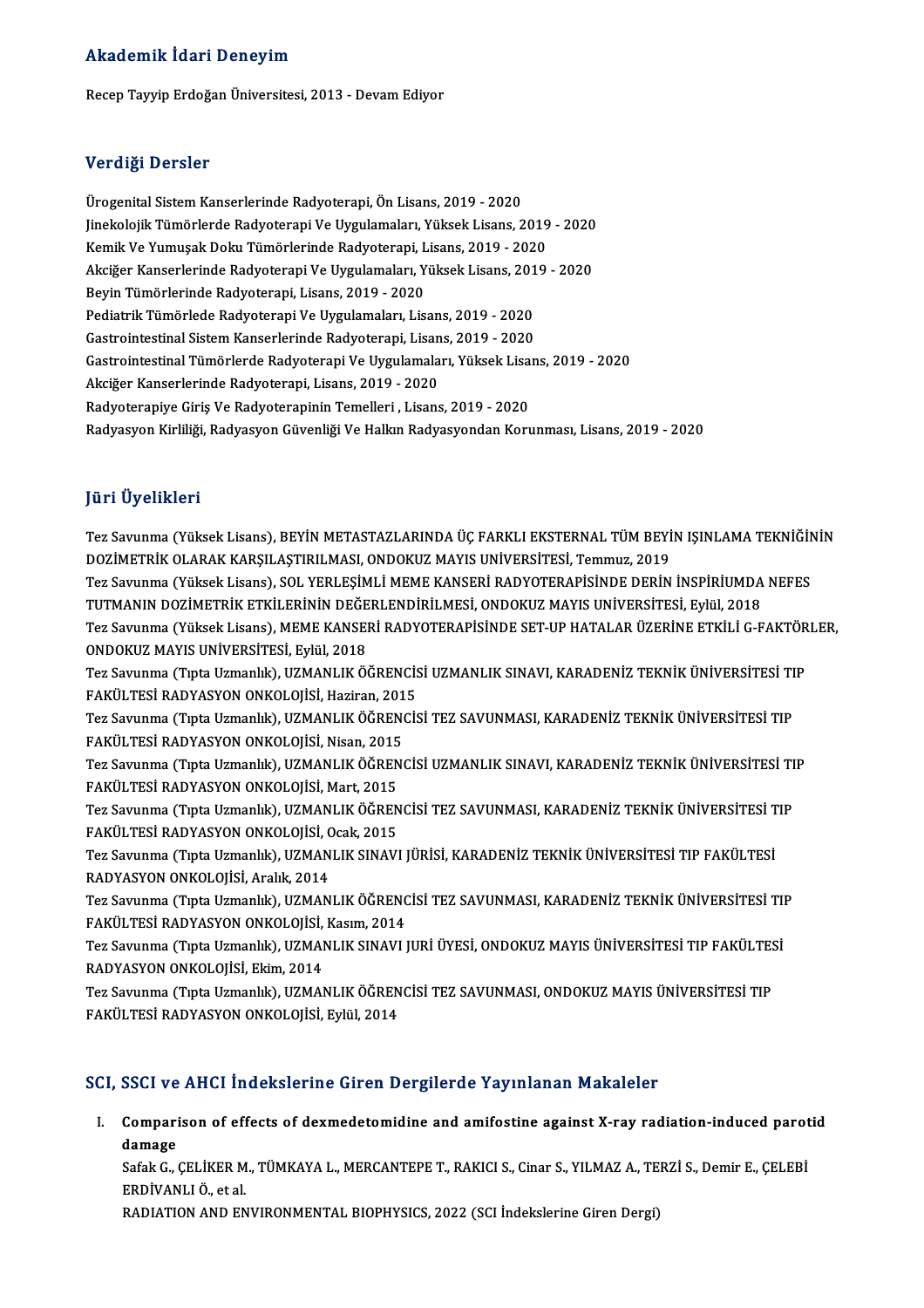#### Akademik İdari Deneyim

RecepTayyipErdoğanÜniversitesi,2013 -DevamEdiyor

#### Verdiği Dersler

Ürogenital Sistem Kanserlerinde Radyoterapi, Ön Lisans, 2019 - 2020 Vorung.<br>Ürogenital Sistem Kanserlerinde Radyoterapi, Ön Lisans, 2019 - 2020<br>Jinekolojik Tümörlerde Radyoterapi Ve Uygulamaları, Yüksek Lisans, 2019 - 2020<br>Kamik Ve Yumusek Deltu Tümörlerinde Badyoterapi, Lisans, 2019 - 202 Ürogenital Sistem Kanserlerinde Radyoterapi, Ön Lisans, 2019 - 2020<br>Jinekolojik Tümörlerde Radyoterapi Ve Uygulamaları, Yüksek Lisans, 2019<br>Kemik Ve Yumuşak Doku Tümörlerinde Radyoterapi, Lisans, 2019 - 2020<br>Aksiğar Kanser Jinekolojik Tümörlerde Radyoterapi Ve Uygulamaları, Yüksek Lisans, 2019 - 2020<br>Kemik Ve Yumuşak Doku Tümörlerinde Radyoterapi, Lisans, 2019 - 2020<br>Akciğer Kanserlerinde Radyoterapi Ve Uygulamaları, Yüksek Lisans, 2019 - 20 Kemik Ve Yumuşak Doku Tümörlerinde Radyoterapi, Lisans, 2019 - 2020<br>Akciğer Kanserlerinde Radyoterapi Ve Uygulamaları, Yüksek Lisans, 2019<br>Beyin Tümörlerinde Radyoterapi, Lisans, 2019 - 2020<br>Pediatrik Tümörlede Radyoterapi Akciğer Kanserlerinde Radyoterapi Ve Uygulamaları, Yüksek Lisans, 2019 - 2020 Gastrointestinal Sistem Kanserlerinde Radyoterapi, Lisans, 2019 - 2020 GastrointestinalTümörlerdeRadyoterapiVeUygulamaları,YüksekLisans,2019 -2020 Akciğer Kanserlerinde Radyoterapi, Lisans, 2019 - 2020 Radyoterapiye Giriş Ve Radyoterapinin Temelleri , Lisans, 2019 - 2020 Radyasyon Kirliliği, Radyasyon Güvenliği Ve Halkın Radyasyondan Korunması, Lisans, 2019 - 2020

#### JüriÜyelikleri

Jüri Üyelikleri<br>Tez Savunma (Yüksek Lisans), BEYİN METASTAZLARINDA ÜÇ FARKLI EKSTERNAL TÜM BEYİN IŞINLAMA TEKNİĞİNİN<br>DOZİMETRİK OLARAK KARSU ASTIRU MASL ONDOKUZ MAYIŞ UNİVERSİTESİ, Tammuz, 2010 DOZİMETRİK OLARAK KARŞILAŞTIRILMASI, ONDOKUZ MAYIS UNİVERSİTESİ, Temmuz, 2019 Tez Savunma (Yüksek Lisans), BEYİN METASTAZLARINDA ÜÇ FARKLI EKSTERNAL TÜM BEYİN IŞINLAMA TEKNİĞİN<br>DOZİMETRİK OLARAK KARŞILAŞTIRILMASI, ONDOKUZ MAYIS UNİVERSİTESİ, Temmuz, 2019<br>TUTMANIN DOZİMETRİK ETKİLERİNIN DEĞERI ENDİRİ Tez Savunma (Yüksek Lisans), SOL YERLEŞİMLİ MEME KANSERİ RADYOTERAPİSİNDE DERİN İNSPİRİUMDA NEFES Tez Savunma (Yüksek Lisans), MEME KANSERİ RADYOTERAPİSİNDE SET-UP HATALAR ÜZERİNE ETKİLİ G-FAKTÖRLER,<br>ONDOKUZ MAYIS UNİVERSİTESİ, Eylül, 2018 TUTMANIN DOZİMETRİK ETKİLERİNİN DEĞERLENDİRİLMESİ, ONDOKUZ MAYIS UNİVERSİTESİ, Eylül, 2018 Tez Savunma (Yüksek Lisans), MEME KANSERİ RADYOTERAPİSİNDE SET-UP HATALAR ÜZERİNE ETKİLİ G-FAKTÖR<br>ONDOKUZ MAYIS UNİVERSİTESİ, Eylül, 2018<br>Tez Savunma (Tıpta Uzmanlık), UZMANLIK ÖĞRENCİSİ UZMANLIK SINAVI, KARADENİZ TEKNİK Ü ONDOKUZ MAYIS UNİVERSİTESİ, Eylül, 2018<br>Tez Savunma (Tıpta Uzmanlık), UZMANLIK ÖĞRENCİS<br>FAKÜLTESİ RADYASYON ONKOLOJİSİ, Haziran, 2015<br>Tez Savunma (Tuta Uzmanlık), UZMANLIK ÖĞRENCİS Tez Savunma (Tıpta Uzmanlık), UZMANLIK ÖĞRENCİSİ UZMANLIK SINAVI, KARADENİZ TEKNİK ÜNİVERSİTESİ TI<br>FAKÜLTESİ RADYASYON ONKOLOJİSİ, Haziran, 2015<br>Tez Savunma (Tıpta Uzmanlık), UZMANLIK ÖĞRENCİSİ TEZ SAVUNMASI, KARADENİZ TEK FAKÜLTESİ RADYASYON ONKOLOJİSİ, Haziran, 2015<br>Tez Savunma (Tıpta Uzmanlık), UZMANLIK ÖĞRENCİSİ TEZ SAVUNMASI, KARADENİZ TEKNİK ÜNİVERSİTESİ TIP<br>FAKÜLTESİ RADYASYON ONKOLOJİSİ, Nisan, 2015 Tez Savunma (Tıpta Uzmanlık), UZMANLIK ÖĞRENCİSİ TEZ SAVUNMASI, KARADENİZ TEKNİK ÜNİVERSİTESİ TIP<br>FAKÜLTESİ RADYASYON ONKOLOJİSİ, Nisan, 2015<br>Tez Savunma (Tıpta Uzmanlık), UZMANLIK ÖĞRENCİSİ UZMANLIK SINAVI, KARADENİZ TEKN FAKÜLTESİ RADYASYON ONKOLOJİSİ, Nisan, 2015<br>Tez Savunma (Tıpta Uzmanlık), UZMANLIK ÖĞREN<br>FAKÜLTESİ RADYASYON ONKOLOJİSİ, Mart, 2015<br>Tez Savunma (Turta Uzmanlık), UZMANLIK ÖĞREN Tez Savunma (Tıpta Uzmanlık), UZMANLIK ÖĞRENCİSİ UZMANLIK SINAVI, KARADENİZ TEKNİK ÜNİVERSİTESİ TI<br>FAKÜLTESİ RADYASYON ONKOLOJİSİ, Mart, 2015<br>Tez Savunma (Tıpta Uzmanlık), UZMANLIK ÖĞRENCİSİ TEZ SAVUNMASI, KARADENİZ TEKNİK FAKÜLTESİ RADYASYON ONKOLOJİSİ, Mart, 2015<br>Tez Savunma (Tıpta Uzmanlık), UZMANLIK ÖĞRENCİSİ TEZ SAVUNMASI, KARADENİZ TEKNİK ÜNİVERSİTESİ TIP<br>FAKÜLTESİ RADYASYON ONKOLOJİSİ, Ocak, 2015 Tez Savunma (Tıpta Uzmanlık), UZMANLIK ÖĞRENCİSİ TEZ SAVUNMASI, KARADENİZ TEKNİK ÜNİVERSİTESİ T<br>FAKÜLTESİ RADYASYON ONKOLOJİSİ, Ocak, 2015<br>Tez Savunma (Tıpta Uzmanlık), UZMANLIK SINAVI JÜRİSİ, KARADENİZ TEKNİK ÜNİVERSİTESİ FAKÜLTESİ RADYASYON ONKOLOJİSİ, C<br>Tez Savunma (Tıpta Uzmanlık), UZMAN<br>RADYASYON ONKOLOJİSİ, Aralık, 2014<br>Tez Savunma (Tıpta Uzmanlık), UZMAN Tez Savunma (Tıpta Uzmanlık), UZMANLIK SINAVI JÜRİSİ, KARADENİZ TEKNİK ÜNİVERSİTESİ TIP FAKÜLTESİ<br>RADYASYON ONKOLOJİSİ, Aralık, 2014<br>Tez Savunma (Tıpta Uzmanlık), UZMANLIK ÖĞRENCİSİ TEZ SAVUNMASI, KARADENİZ TEKNİK ÜNİVERSİ RADYASYON ONKOLOJİSİ, Aralık, 2014<br>Tez Savunma (Tıpta Uzmanlık), UZMANLIK ÖĞRENC<br>FAKÜLTESİ RADYASYON ONKOLOJİSİ, Kasım, 2014<br>Tez Sayunma (Tınta Uzmanlık), UZMANLIK SINAVLI Tez Savunma (Tıpta Uzmanlık), UZMANLIK ÖĞRENCİSİ TEZ SAVUNMASI, KARADENİZ TEKNİK ÜNİVERSİTESİ TII<br>FAKÜLTESİ RADYASYON ONKOLOJİSİ, Kasım, 2014<br>Tez Savunma (Tıpta Uzmanlık), UZMANLIK SINAVI JURİ ÜYESİ, ONDOKUZ MAYIS ÜNİVERSİ FAKÜLTESİ RADYASYON ONKOLOJİSİ, Kasım, 2014<br>Tez Savunma (Tıpta Uzmanlık), UZMANLIK SINAVI JURİ ÜYESİ, ONDOKUZ MAYIS ÜNİVERSİTESİ TIP FAKÜLTESİ<br>RADYASYON ONKOLOJİSİ, Ekim, 2014 Tez Savunma (Tıpta Uzmanlık), UZMANLIK SINAVI JURİ ÜYESİ, ONDOKUZ MAYIS ÜNİVERSİTESİ TIP FAKÜLTES<br>RADYASYON ONKOLOJİSİ, Ekim, 2014<br>Tez Savunma (Tıpta Uzmanlık), UZMANLIK ÖĞRENCİSİ TEZ SAVUNMASI, ONDOKUZ MAYIS ÜNİVERSİTESİ RADYASYON ONKOLOJİSİ, Ekim, 2014<br>Tez Savunma (Tıpta Uzmanlık), UZMANLIK ÖĞREN<br>FAKÜLTESİ RADYASYON ONKOLOJİSİ, Eylül, 2014

# FAKÜLTESİ RADYASYON ONKOLOJİSİ, Eylül, 2014<br>SCI, SSCI ve AHCI İndekslerine Giren Dergilerde Yayınlanan Makaleler

CI, SSCI ve AHCI İndekslerine Giren Dergilerde Yayınlanan Makaleler<br>I. Comparison of effects of dexmedetomidine and amifostine against X-ray radiation-induced parotid<br>damage Compari<br>Compari<br>Safak C Comparison of effects of dexmedetomidine and amifostine against X-ray radiation-induced parot<br>damage<br>Safak G., ÇELİKER M., TÜMKAYA L., MERCANTEPE T., RAKICI S., Cinar S., YILMAZ A., TERZİ S., Demir E., ÇELEBİ<br>EPDİVANLLÖ, e

damage<br>Safak G., ÇELİKER M., TÜMKAYA L., MERCANTEPE T., RAKICI S., Cinar S., YILMAZ A., TERZİ S., Demir E., ÇELEBİ<br>ERDİVANLI Ö., et al.

RADIATION AND ENVIRONMENTAL BIOPHYSICS, 2022 (SCI İndekslerine Giren Dergi)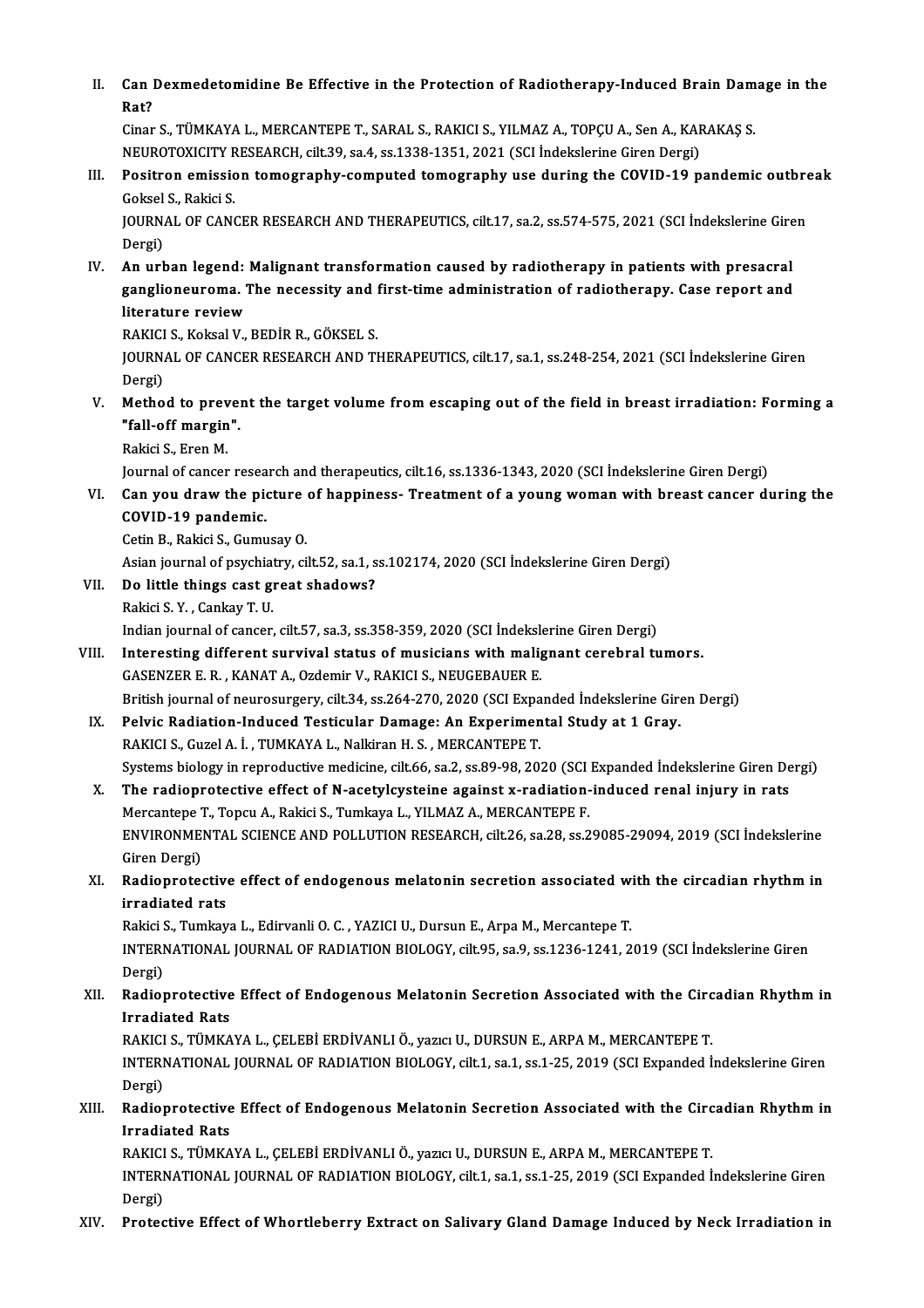II. Can Dexmedetomidine Be Effective in the Protection of Radiotherapy-Induced Brain Damage in the<br>Ret? Can I<br>Rat?<br><sup>Cinon</sup> Can Dexmedetomidine Be Effective in the Protection of Radiotherapy-Induced Brain Dam<br>Rat?<br>Cinar S., TÜMKAYA L., MERCANTEPE T., SARAL S., RAKICI S., YILMAZ A., TOPÇU A., Sen A., KARAKAŞ S.<br>NEUPOTOVICITY RESEARCH silt 29, 82

Rat?<br>Cinar S., TÜMKAYA L., MERCANTEPE T., SARAL S., RAKICI S., YILMAZ A., TOPCU A., Sen A., KARAKAS S. Cinar S., TÜMKAYA L., MERCANTEPE T., SARAL S., RAKICI S., YILMAZ A., TOPÇU A., Sen A., KARAKAŞ S.<br>NEUROTOXICITY RESEARCH, cilt.39, sa.4, ss.1338-1351, 2021 (SCI İndekslerine Giren Dergi)<br>III. Positron emission tomography-c

NEUROTOXICITY RESEARCH, cilt.39, sa.4, ss.1338-1351, 2021 (SCI Indekslerine Giren Dergi)<br>Positron emission tomography-computed tomography use during the COVID-19 p<br>Goksel S., Rakici S. Positron emission tomography-computed tomography use during the COVID-19 pandemic outbre<br>Goksel S., Rakici S.<br>JOURNAL OF CANCER RESEARCH AND THERAPEUTICS, cilt.17, sa.2, ss.574-575, 2021 (SCI İndekslerine Giren<br>Persi)

JOURNAL OF CANCER RESEARCH AND THERAPEUTICS, cilt.17, sa.2, ss.574-575, 2021 (SCI İndekslerine Giren Dergi)

IV. An urban legend: Malignant transformation caused by radiotherapy in patients with presacral Dergi)<br>An urban legend: Malignant transformation caused by radiotherapy in patients with presacral<br>ganglioneuroma. The necessity and first-time administration of radiotherapy. Case report and<br>literature review An urban legend:<br>ganglioneuroma. 1<br>literature review<br>BAKICLS, Kokoal V ganglioneuroma. The necessity and !<br>literature review<br>RAKICI S., Koksal V., BEDİR R., GÖKSEL S.<br>JOUPMAL OE CANCER RESEARCH AND TI

literature review<br>RAKICI S., Koksal V., BEDİR R., GÖKSEL S.<br>JOURNAL OF CANCER RESEARCH AND THERAPEUTICS, cilt.17, sa.1, ss.248-254, 2021 (SCI İndekslerine Giren RAKICI<br>JOURN<br>Dergi)<br>Mathe

V. Method to prevent the target volume fromescaping out of the field in breast irradiation: Forming a Dergi)<br>Method to prever<br>"fall-off margin".<br>Pekisi S. Eren M Method to prev<br>"fall-off margin<br>Rakici S., Eren M.<br>Journal of sanson

Rakici S., Eren M.<br>Journal of cancer research and therapeutics, cilt.16, ss.1336-1343, 2020 (SCI İndekslerine Giren Dergi)

Rakici S., Eren M.<br>Journal of cancer research and therapeutics, cilt.16, ss.1336-1343, 2020 (SCI Indekslerine Giren Dergi)<br>VI. Can you draw the picture of happiness- Treatment of a young woman with breast cancer during the Journal of cancer resea<br>Can you draw the pion<br>COVID-19 pandemic.<br>Cetin B. Pakisi S. Cumu Can you draw the picture<br>COVID-19 pandemic.<br>Cetin B., Rakici S., Gumusay O.<br>Asian journal of psychiatry, si

COVID-19 pandemic.<br>Cetin B., Rakici S., Gumusay O.<br>Asian journal of psychiatry, cilt.52, sa.1, ss.102174, 2020 (SCI İndekslerine Giren Dergi) Cetin B., Rakici S., Gumusay O.<br>Asian journal of psychiatry, cilt.52, sa.1, s<br>VII. Do little things cast great shadows?

- Asian journal of psychiat<br>Do little things cast gi<br>Rakici S.Y. , Cankay T. U.<br>Indian journal of cancer
	-

Do little things cast great shadows?<br>Rakici S. Y. , Cankay T. U.<br>Indian journal of cancer, cilt.57, sa.3, ss.358-359, 2020 (SCI İndekslerine Giren Dergi)<br>Interesting different survival status of musicians with malignant se

- Rakici S. Y. , Cankay T. U.<br>Indian journal of cancer, cilt.57, sa.3, ss.358-359, 2020 (SCI Indekslerine Giren Dergi)<br>VIII. Interesting different survival status of musicians with malignant cerebral tumors.<br>GASENZER E. R. , Indian journal of cancer, cilt.57, sa.3, ss.358-359, 2020 (SCI İndekslow Interesting different survival status of musicians with maliguide GASENZER E. R., KANAT A., Ozdemir V., RAKICI S., NEUGEBAUER E.<br>Pritish journal of n British journal of neurosurgery, cilt.34, ss.264-270, 2020 (SCI Expanded İndekslerine Giren Dergi) GASENZER E. R., KANAT A., Ozdemir V., RAKICI S., NEUGEBAUER E.<br>British journal of neurosurgery, cilt.34, ss.264-270, 2020 (SCI Expanded Indekslerine Gire<br>IX. Pelvic Radiation-Induced Testicular Damage: An Experimental Stud
	- British journal of neurosurgery, cilt.34, ss.264-270, 2020 (SCI Expa<br>Pelvic Radiation-Induced Testicular Damage: An Experimen<br>RAKICI S., Guzel A. İ. , TUMKAYA L., Nalkiran H. S. , MERCANTEPE T.<br>Systems biology in nonrodust RAKICI S., Guzel A. İ. , TUMKAYA L., Nalkiran H. S. , MERCANTEPE T.<br>Systems biology in reproductive medicine, cilt.66, sa.2, ss.89-98, 2020 (SCI Expanded İndekslerine Giren Dergi) RAKICI S., Guzel A. İ. , TUMKAYA L., Nalkiran H. S. , MERCANTEPE T.<br>Systems biology in reproductive medicine, cilt.66, sa.2, ss.89-98, 2020 (SCI Expanded İndekslerine Giren De<br>X. The radioprotective effect of N-acetylcyste
	- Systems biology in reproductive medicine, cilt.66, sa.2, ss.89-98, 2020 (SCI<br>The radioprotective effect of N-acetylcysteine against x-radiation-<br>Mercantepe T., Topcu A., Rakici S., Tumkaya L., YILMAZ A., MERCANTEPE F.<br>ENVI The radioprotective effect of N-acetylcysteine against x-radiation-induced renal injury in rats<br>Mercantepe T., Topcu A., Rakici S., Tumkaya L., YILMAZ A., MERCANTEPE F.<br>ENVIRONMENTAL SCIENCE AND POLLUTION RESEARCH, cilt.26 Mercantepe T., Topcu A., Rakici S., Tumkaya L., YILMAZ A., MERCANTEPE F.<br>ENVIRONMENTAL SCIENCE AND POLLUTION RESEARCH, cilt.26, sa.28, ss.29085-29094, 2019 (SCI İndekslerine<br>Giren Dergi) ENVIRONMENTAL SCIENCE AND POLLUTION RESEARCH, cilt.26, sa.28, ss.29085-29094, 2019 (SCI Indekslerine<br>Giren Dergi)<br>XI. Radioprotective effect of endogenous melatonin secretion associated with the circadian rhythm in<br>innedia
	- Giren Dergi)<br><mark>Radioprotectiv</mark><br>irradiated rats<br><sup>Rakici S. Tumkav</sup> irradiated rats<br>Rakici S., Tumkaya L., Edirvanli O. C. , YAZICI U., Dursun E., Arpa M., Mercantepe T.

irradiated rats<br>Rakici S., Tumkaya L., Edirvanli O. C. , YAZICI U., Dursun E., Arpa M., Mercantepe T.<br>INTERNATIONAL JOURNAL OF RADIATION BIOLOGY, cilt.95, sa.9, ss.1236-1241, 2019 (SCI İndekslerine Giren Rakici S<br>INTERI<br>Dergi)<br>Pedier INTERNATIONAL JOURNAL OF RADIATION BIOLOGY, cilt.95, sa.9, ss.1236-1241, 2019 (SCI İndekslerine Giren<br>Dergi)<br>XII. Radioprotective Effect of Endogenous Melatonin Secretion Associated with the Circadian Rhythm in

## Dergi)<br>Radioprotective<br>Irradiated Rats<br>PAVICLS TÜMVA Radioprotective Effect of Endogenous Melatonin Secretion Associated with the Circ<br>Irradiated Rats<br>RAKICI S., TÜMKAYA L., ÇELEBİ ERDİVANLI Ö., yazıcı U., DURSUN E., ARPA M., MERCANTEPE T.<br>INTERNATIONAL JOURNAL OF PADIATION

RAKICI S., TÜMKAYA L., ÇELEBİ ERDİVANLI Ö., yazıcı U., DURSUN E., ARPA M., MERCANTEPE T.

Irradiated Rats<br>RAKICI S., TÜMKAYA L., ÇELEBİ ERDİVANLI Ö., yazıcı U., DURSUN E., ARPA M., MERCANTEPE T.<br>INTERNATIONAL JOURNAL OF RADIATION BIOLOGY, cilt.1, sa.1, ss.1-25, 2019 (SCI Expanded İndekslerine Giren<br>Dergi) INTERNATIONAL JOURNAL OF RADIATION BIOLOGY, cilt.1, sa.1, ss.1-25, 2019 (SCI Expanded Indekslerine Giren<br>Dergi)<br>XIII. Radioprotective Effect of Endogenous Melatonin Secretion Associated with the Circadian Rhythm in

## Dergi)<br>Radioprotective<br>Irradiated Rats<br>RAVICLS TÜMVA Radioprotective Effect of Endogenous Melatonin Secretion Associated with the Circ<br>Irradiated Rats<br>RAKICI S., TÜMKAYA L., ÇELEBİ ERDİVANLI Ö., yazıcı U., DURSUN E., ARPA M., MERCANTEPE T.<br>INTERNATIONAL JOURNAL OF PADIATION

Irradiated Rats<br>RAKICI S., TÜMKAYA L., ÇELEBİ ERDİVANLI Ö., yazıcı U., DURSUN E., ARPA M., MERCANTEPE T.<br>INTERNATIONAL JOURNAL OF RADIATION BIOLOGY, cilt.1, sa.1, ss.1-25, 2019 (SCI Expanded İndekslerine Giren<br>Dergi) RAKICI<br>INTERI<br>Dergi)<br>Protes

XIV. Protective Effect ofWhortleberry Extract on Salivary Gland Damage Induced by Neck Irradiation in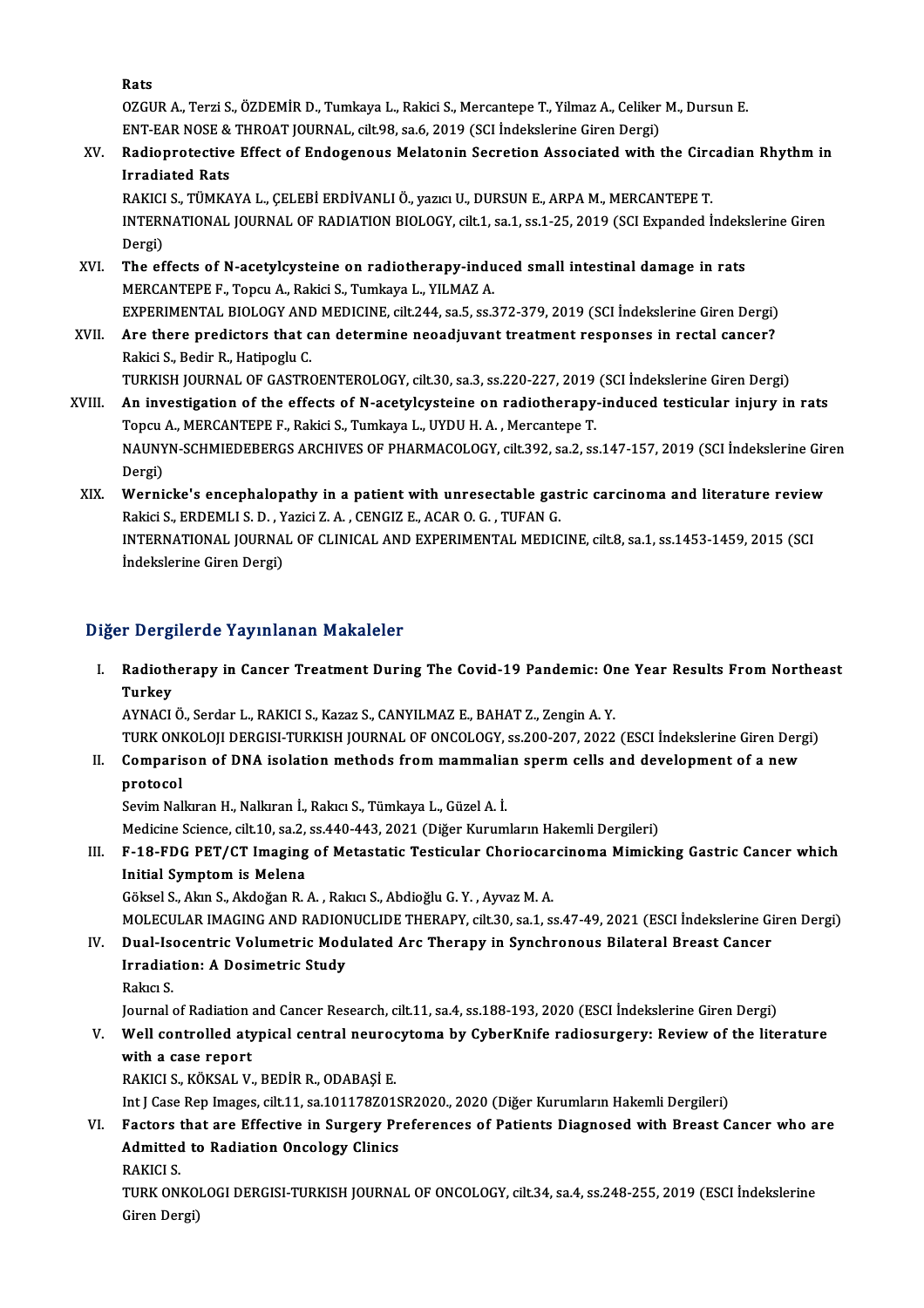Rats

Rats<br>OZGUR A., Terzi S., ÖZDEMİR D., Tumkaya L., Rakici S., Mercantepe T., Yilmaz A., Celiker M., Dursun E.<br>ENT FAR NOSE & THROAT JOURNAL, silt 98, sa 6, 2019 (SCL İndekslerine Ciren Dergi) Rats<br>OZGUR A., Terzi S., ÖZDEMİR D., Tumkaya L., Rakici S., Mercantepe T., Yilmaz A., Celiker<br>ENT-EAR NOSE & THROAT JOURNAL, cilt.98, sa.6, 2019 (SCI İndekslerine Giren Dergi)<br>Padiannatastiva Effect of Endegenous Malatanin ENT-EAR NOSE & THROAT JOURNAL, cilt.98, sa.6, 2019 (SCI Indekslerine Giren Dergi)

### XV. Radioprotective Effect of Endogenous Melatonin Secretion Associated with the Circadian Rhythm in<br>Irradiated Rats Radioprotective Effect of Endogenous Melatonin Secretion Associated with the Circ<br>Irradiated Rats<br>RAKICI S., TÜMKAYA L., ÇELEBİ ERDİVANLI Ö., yazıcı U., DURSUN E., ARPA M., MERCANTEPE T.<br>INTERNATIONAL JOURNAL OF PADIATION

INTERNATIONAL JOURNAL OF RADIATION BIOLOGY, cilt.1, sa.1, ss.1-25, 2019 (SCI Expanded İndekslerine Giren<br>Dergi) RAKICI<br>INTERI<br>Dergi)<br>The of

- XVI. The effects of N-acetylcysteine on radiotherapy-induced smal intestinal damage in rats MERCANTEPE F., Topcu A., Rakici S., Tumkaya L., YILMAZ A. EXPERIMENTAL BIOLOGY AND MEDICINE, cilt.244, sa.5, ss.372-379, 2019 (SCI İndekslerine Giren Dergi)
- MERCANTEPE F., Topcu A., Rakici S., Tumkaya L., YILMAZ A.<br>EXPERIMENTAL BIOLOGY AND MEDICINE, cilt.244, sa.5, ss.372-379, 2019 (SCI İndekslerine Giren Dergi)<br>XVII. Are there predictors that can determine neoadjuvant treatme EXPERIMENTAL BIOLOGY AND<br>Are there predictors that c<br>Rakici S., Bedir R., Hatipoglu C.<br>TURKISH JOURNAL OF CASTRO Are there predictors that can determine neoadjuvant treatment responses in rectal cancer?<br>Rakici S., Bedir R., Hatipoglu C.<br>TURKISH JOURNAL OF GASTROENTEROLOGY, cilt.30, sa.3, ss.220-227, 2019 (SCI İndekslerine Giren Dergi

- Rakici S., Bedir R., Hatipoglu C.<br>TURKISH JOURNAL OF GASTROENTEROLOGY, cilt.30, sa.3, ss.220-227, 2019 (SCI İndekslerine Giren Dergi)<br>XVIII. An investigation of the effects of N-acetylcysteine on radiotherapy-induced testi TURKISH JOURNAL OF GASTROENTEROLOGY, cilt.30, sa.3, ss.220-227, 2019<br>An investigation of the effects of N-acetylcysteine on radiotherapy<br>Topcu A., MERCANTEPE F., Rakici S., Tumkaya L., UYDU H.A. , Mercantepe T.<br>NAUNYN SCHM An investigation of the effects of N-acetylcysteine on radiotherapy-induced testicular injury in rats<br>Topcu A., MERCANTEPE F., Rakici S., Tumkaya L., UYDU H. A. , Mercantepe T.<br>NAUNYN-SCHMIEDEBERGS ARCHIVES OF PHARMACOLOGY Topcu A., MERCANTEPE F., Rakici S., Tumkaya L., UYDU H. A., Mercantepe T. NAUNYN-SCHMIEDEBERGS ARCHIVES OF PHARMACOLOGY, cilt.392, sa.2, ss.147-157, 2019 (SCI indekslerine Gir<br>Dergi)<br>XIX. Wernicke's encephalopathy in a patient with unresectable gastric carcinoma and literature review
- Dergi)<br>Wernicke's encephalopathy in a patient with unresectable gas<br>Rakici S., ERDEMLI S. D. , Yazici Z. A. , CENGIZ E., ACAR O. G. , TUFAN G.<br>INTERNATIONAL JOURNAL OF CLINICAL AND EXPERIMENTAL MEDIC Wernicke's encephalopathy in a patient with unresectable gastric carcinoma and literature reviev<br>Rakici S., ERDEMLI S. D. , Yazici Z. A. , CENGIZ E., ACAR O. G. , TUFAN G.<br>INTERNATIONAL JOURNAL OF CLINICAL AND EXPERIMENTAL Rakici S., ERDEMLI S. D. , Yazici Z. A. , CENGIZ E., ACAR O. G. , TUFAN G.<br>INTERNATIONAL JOURNAL OF CLINICAL AND EXPERIMENTAL MEDICINE, cilt.8, sa.1, ss.1453-1459, 2015 (SCI<br>Indekslerine Giren Dergi)

#### Diğer Dergilerde Yayınlanan Makaleler

iğer Dergilerde Yayınlanan Makaleler<br>I. Radiotherapy in Cancer Treatment During The Covid-19 Pandemic: One Year Results From Northeast<br>Turkey r Dorg<br>Radioth<br>Turkey<br>AVMACI Radiotherapy in Cancer Treatment During The Covid-19 Pandemic: Or<br>Turkey<br>AYNACI Ö., Serdar L., RAKICI S., Kazaz S., CANYILMAZ E., BAHAT Z., Zengin A. Y.<br>TURK ONKOLOU DERCISI TURKISH JOURNAL OF ONCOLOGY 88 200 207 2022 Turkey<br>AYNACI Ö., Serdar L., RAKICI S., Kazaz S., CANYILMAZ E., BAHAT Z., Zengin A. Y.<br>TURK ONKOLOJI DERGISI-TURKISH JOURNAL OF ONCOLOGY, ss.200-207, 2022 (ESCI İndekslerine Giren Dergi)<br>Comparison of DNA isolation methods

AYNACI Ö., Serdar L., RAKICI S., Kazaz S., CANYILMAZ E., BAHAT Z., Zengin A. Y.<br>TURK ONKOLOJI DERGISI-TURKISH JOURNAL OF ONCOLOGY, ss.200-207, 2022 (ESCI İndekslerine Giren Derg<br>II. Comparison of DNA isolation methods from TURK ON<mark>I</mark><br>Comparis<br>protocol<br>Savim Nal II. Comparison of DNA isolation methods from mammalian sperm cells and development of a new<br>protocol<br>Sevim Nalkıran H., Nalkıran İ., Rakıcı S., Tümkaya L., Güzel A. İ.

Medicine Science, cilt.10, sa.2, ss.440-443, 2021 (Diğer Kurumların Hakemli Dergileri)

Sevim Nalkıran H., Nalkıran İ., Rakıcı S., Tümkaya L., Güzel A. İ.<br>Medicine Science, cilt.10, sa.2, ss.440-443, 2021 (Diğer Kurumların Hakemli Dergileri)<br>III. F-18-FDG PET/CT Imaging of Metastatic Testicular Choriocarcinom Medicine Science, cilt.10, sa.2,<br>F-18-FDG PET/CT Imaging<br>Initial Symptom is Melena<br>Gölgel S. Alan S. Algeğan B. F-18-FDG PET/CT Imaging of Metastatic Testicular Choriocar<br>Initial Symptom is Melena<br>Göksel S., Akın S., Akdoğan R. A. , Rakıcı S., Abdioğlu G. Y. , Ayvaz M. A.<br>MOLECULAR IMACINC AND RADIONUCLIDE THERARY .cilt 20. SR 1. S

Initial Symptom is Melena<br>Göksel S., Akın S., Akdoğan R. A. , Rakıcı S., Abdioğlu G. Y. , Ayvaz M. A.<br>MOLECULAR IMAGING AND RADIONUCLIDE THERAPY, cilt.30, sa.1, ss.47-49, 2021 (ESCI İndekslerine Giren Dergi) Göksel S., Akın S., Akdoğan R. A. , Rakıcı S., Abdioğlu G. Y. , Ayvaz M. A.<br>MOLECULAR IMAGING AND RADIONUCLIDE THERAPY, cilt.30, sa.1, ss.47-49, 2021 (ESCI İndekslerine Gi<br>IV. Dual-Isocentric Volumetric Modulated Arc T

### MOLECULAR IMAGING AND RADION<br>Dual-Isocentric Volumetric Mod<br>Irradiation: A Dosimetric Study<br>Paka: S Dual-Ise<br>I<mark>rradiat</mark><br>Rakıcı S. I<mark>rradiation: A Dosimetric Study</mark><br>Rakıcı S.<br>Journal of Radiation and Cancer Research, cilt.11, sa.4, ss.188-193, 2020 (ESCI İndekslerine Giren Dergi)<br>Well controlled atunical control nourogytoma by CyberKnife radiogyrgory:

## Rakıcı S.<br>Journal of Radiation and Cancer Research, cilt.11, sa.4, ss.188-193, 2020 (ESCI İndekslerine Giren Dergi)<br>V. Well controlled atypical central neurocytoma by CyberKnife radiosurgery: Review of the literature<br>with Journal of Radiation<br>Well controlled aty<br>with a case report<br>BAVICLS *VÖ*VSAL V

RAKICI S., KÖKSAL V., BEDİR R., ODABAŞİ E.

Int J Case Rep Images, cilt.11, sa.101178Z01SR2020., 2020 (Diğer Kurumların Hakemli Dergileri)

### RAKICI S., KÖKSAL V., BEDİR R., ODABAŞİ E.<br>Int J Case Rep Images, cilt.11, sa.101178Z01SR2020., 2020 (Diğer Kurumların Hakemli Dergileri)<br>VI. Factors that are Effective in Surgery Preferences of Patients Diagnosed with Int J Case Rep Images, cilt.11, sa.101178Z01S<br>Factors that are Effective in Surgery Pr<br>Admitted to Radiation Oncology Clinics<br>RAVICLS Factors<br>Admitted<br>RAKICI S.<br>TUPK ON

Admitted to Radiation Oncology Clinics<br>RAKICI S.<br>TURK ONKOLOGI DERGISI-TURKISH JOURNAL OF ONCOLOGY, cilt.34, sa.4, ss.248-255, 2019 (ESCI İndekslerine<br>Ciron Dargi) RAKICI S.<br>TURK ONKO!<br>Giren Dergi)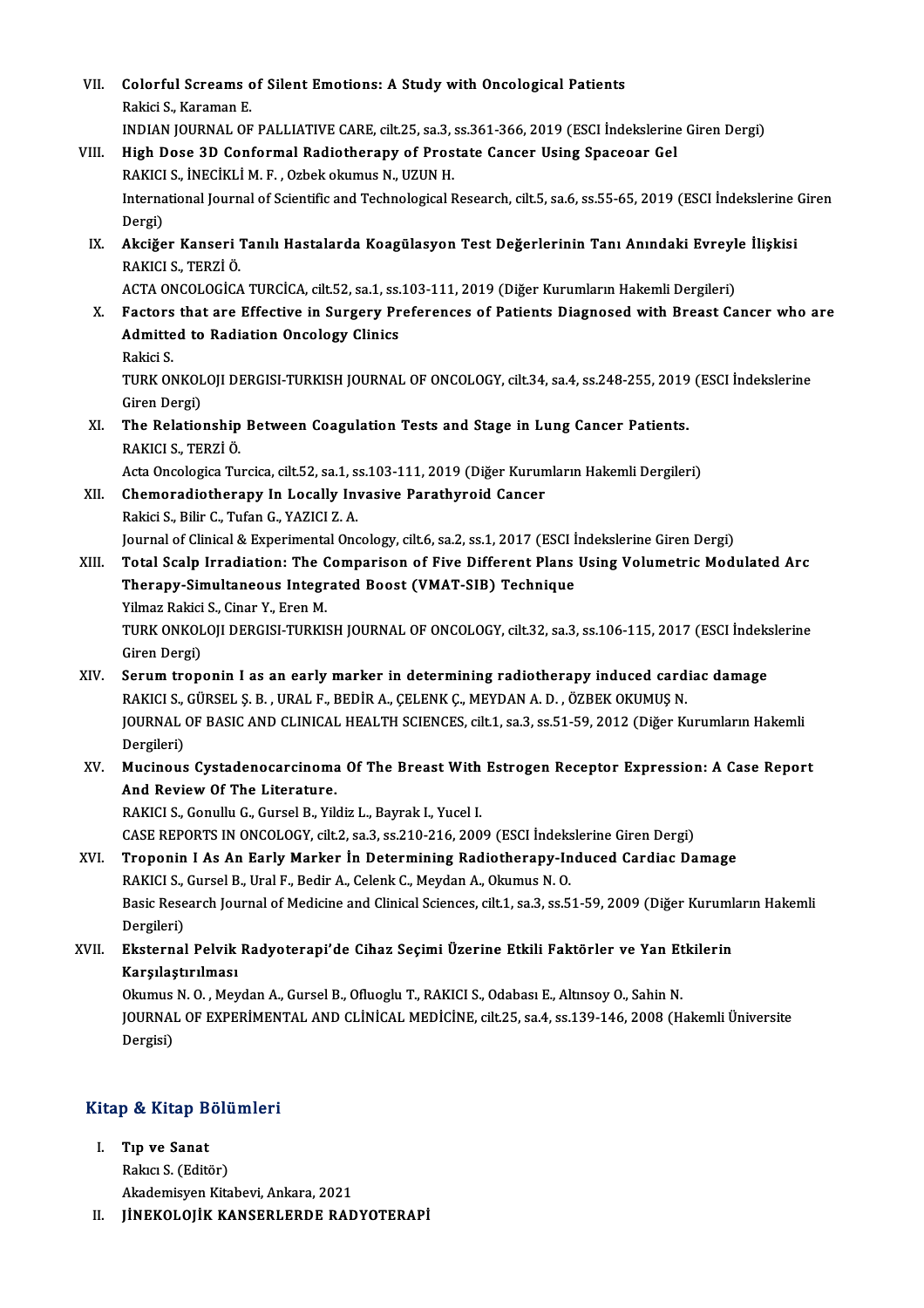| VII.  | Colorful Screams of Silent Emotions: A Study with Oncological Patients<br>Rakici S., Karaman E.                       |
|-------|-----------------------------------------------------------------------------------------------------------------------|
|       | INDIAN JOURNAL OF PALLIATIVE CARE, cilt.25, sa.3, ss.361-366, 2019 (ESCI Indekslerine Giren Dergi)                    |
| VIII. | High Dose 3D Conformal Radiotherapy of Prostate Cancer Using Spaceoar Gel                                             |
|       | RAKICI S., İNECİKLİ M. F., Ozbek okumus N., UZUN H.                                                                   |
|       | International Journal of Scientific and Technological Research, cilt.5, sa.6, ss.55-65, 2019 (ESCI İndekslerine Giren |
|       | Dergi)                                                                                                                |
| IX.   | Akciğer Kanseri Tanılı Hastalarda Koagülasyon Test Değerlerinin Tanı Anındaki Evreyle İlişkisi                        |
|       | RAKICI S., TERZİ Ö.                                                                                                   |
|       | ACTA ONCOLOGİCA TURCİCA, cilt.52, sa.1, ss.103-111, 2019 (Diğer Kurumların Hakemli Dergileri)                         |
| X.    | Factors that are Effective in Surgery Preferences of Patients Diagnosed with Breast Cancer who are                    |
|       | <b>Admitted to Radiation Oncology Clinics</b>                                                                         |
|       | Rakici S                                                                                                              |
|       | TURK ONKOLOJI DERGISI-TURKISH JOURNAL OF ONCOLOGY, cilt.34, sa.4, ss.248-255, 2019 (ESCI İndekslerine                 |
|       | Giren Dergi)                                                                                                          |
| XI.   | The Relationship Between Coagulation Tests and Stage in Lung Cancer Patients.                                         |
|       | RAKICI S., TERZİ Ö.<br>Acta Oncologica Turcica, cilt.52, sa.1, ss.103-111, 2019 (Diğer Kurumların Hakemli Dergileri)  |
| XII.  | Chemoradiotherapy In Locally Invasive Parathyroid Cancer                                                              |
|       | Rakici S., Bilir C., Tufan G., YAZICI Z. A.                                                                           |
|       | Journal of Clinical & Experimental Oncology, cilt.6, sa.2, ss.1, 2017 (ESCI İndekslerine Giren Dergi)                 |
| XIII. | Total Scalp Irradiation: The Comparison of Five Different Plans Using Volumetric Modulated Arc                        |
|       | Therapy-Simultaneous Integrated Boost (VMAT-SIB) Technique                                                            |
|       | Yilmaz Rakici S., Cinar Y., Eren M.                                                                                   |
|       | TURK ONKOLOJI DERGISI-TURKISH JOURNAL OF ONCOLOGY, cilt.32, sa.3, ss.106-115, 2017 (ESCI İndekslerine                 |
|       | Giren Dergi)                                                                                                          |
| XIV.  | Serum troponin I as an early marker in determining radiotherapy induced cardiac damage                                |
|       | RAKICI S., GÜRSEL Ş. B., URAL F., BEDİR A., ÇELENK Ç., MEYDAN A. D., ÖZBEK OKUMUŞ N.                                  |
|       | JOURNAL OF BASIC AND CLINICAL HEALTH SCIENCES, cilt.1, sa.3, ss.51-59, 2012 (Diğer Kurumların Hakemli                 |
|       | Dergileri)                                                                                                            |
| XV.   | Mucinous Cystadenocarcinoma Of The Breast With Estrogen Receptor Expression: A Case Report                            |
|       | And Review Of The Literature.<br>RAKICI S., Gonullu G., Gursel B., Yildiz L., Bayrak I., Yucel I.                     |
|       | CASE REPORTS IN ONCOLOGY, cilt.2, sa.3, ss.210-216, 2009 (ESCI Indekslerine Giren Dergi)                              |
| XVI.  | Troponin I As An Early Marker In Determining Radiotherapy-Induced Cardiac Damage                                      |
|       | RAKICI S., Gursel B., Ural F., Bedir A., Celenk C., Meydan A., Okumus N. O.                                           |
|       | Basic Research Journal of Medicine and Clinical Sciences, cilt.1, sa.3, ss.51-59, 2009 (Diğer Kurumların Hakemli      |
|       | Dergileri)                                                                                                            |
| XVII. | Eksternal Pelvik Radyoterapi'de Cihaz Seçimi Üzerine Etkili Faktörler ve Yan Etkilerin                                |
|       | Karşılaştırılması                                                                                                     |
|       | Okumus N. O., Meydan A., Gursel B., Ofluoglu T., RAKICI S., Odabası E., Altınsoy O., Sahin N.                         |
|       | JOURNAL OF EXPERIMENTAL AND CLINICAL MEDICINE, cilt.25, sa.4, ss.139-146, 2008 (Hakemli Üniversite                    |
|       | Dergisi)                                                                                                              |
|       |                                                                                                                       |
|       |                                                                                                                       |

itap & Kitap B<br>I. Tıp ve Sanat<br> <sup>Polno S. (Edit</sup> I. Tip ve Sanat<br>Rakıcı S. (Editör) Akademisyen Kitabevi, Ankara, 2021 II. JİNEKOLOJİK KANSERLERDE RADYOTERAPİ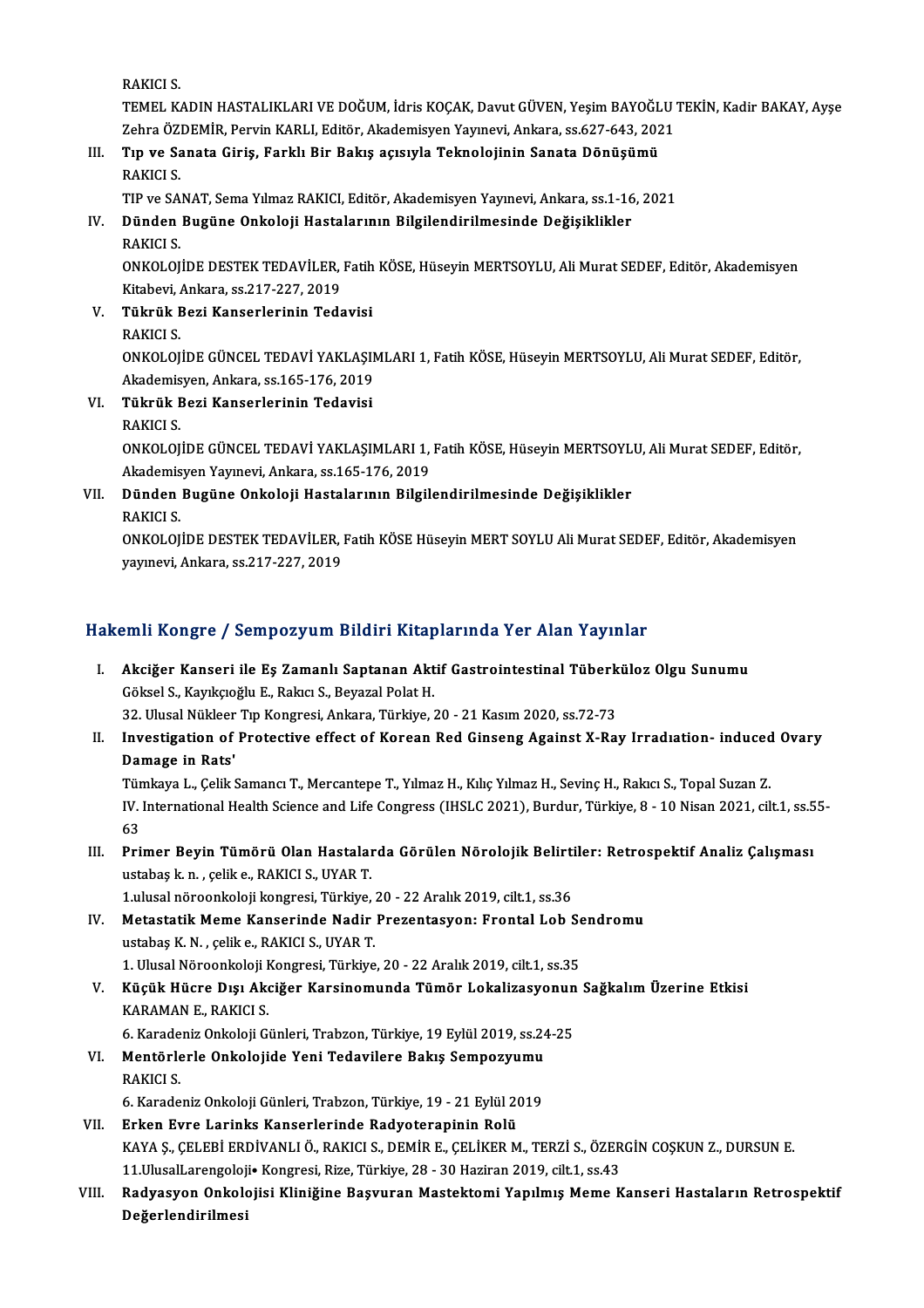RAKICI S.

RAKICI S.<br>TEMEL KADIN HASTALIKLARI VE DOĞUM, İdris KOÇAK, Davut GÜVEN, Yeşim BAYOĞLU TEKİN, Kadir BAKAY, Ayşe<br>Zahna ÖZDEMİR, Pewin KARLI, Editör, Akademisyon Yayınevi, Ankara, 99,627,643,3931 RAKICI S.<br>TEMEL KADIN HASTALIKLARI VE DOĞUM, İdris KOÇAK, Davut GÜVEN, Yeşim BAYOĞLU<br>Zehra ÖZDEMİR, Pervin KARLI, Editör, Akademisyen Yayınevi, Ankara, ss.627-643, 2021<br>Tın ve Sanata Ginia, Farklı Bir Bakıs asısıyla Taknal Zehra ÖZDEMİR, Pervin KARLI, Editör, Akademisyen Yayınevi, Ankara, ss.627-643, 2021

### III. Tıp ve Sanata Giriş, Farklı Bir Bakış açısıyla Teknolojinin Sanata Dönüşümü<br>RAKICI S.

TIPve SANAT,SemaYılmazRAKICI,Editör,AkademisyenYayınevi,Ankara, ss.1-16,2021

### RAKICI S.<br>IV. Dünden Bugüne Onkoloji Hastalarının Bilgilendirilmesinde Değişiklikler<br>DAKICI S TIP ve SA<br><mark>Dünden</mark><br>RAKICI S.<br>ONKOLOI Dünden Bugüne Onkoloji Hastalarının Bilgilendirilmesinde Değişiklikler<br>RAKICI S.<br>ONKOLOJİDE DESTEK TEDAVİLER, Fatih KÖSE, Hüseyin MERTSOYLU, Ali Murat SEDEF, Editör, Akademisyen<br>Kitabeyi, Ankara se 217 227 2019

RAKICI S.<br>ONKOLOJİDE DESTEK TEDAVİLER,<br>Kitabevi, Ankara, ss.217-227, 2019<br>Tülmük Begi Kanserlerinin Tede Kitabevi, Ankara, ss.217-227, 2019

- V. Tükrük Bezi Kanserlerinin Tedavisi ONKOLOJİDE GÜNCEL TEDAVİ YAKLAŞIMLARI 1, Fatih KÖSE, Hüseyin MERTSOYLU, Ali Murat SEDEF, Editör, RAKICI S.<br>ONKOLOJİDE GÜNCEL TEDAVİ YAKLAŞIN<br>Akademisyen, Ankara, ss.165-176, 2019<br>Tülmük Begi Kansonlerinin Tedevisi
- VI. Tükrük Bezi Kanserlerinin Tedavisi Akademis<br><mark>Tükrük I</mark><br>RAKICI S.<br>ONKOLOL Tükrük Bezi Kanserlerinin Tedavisi<br>RAKICI S.<br>ONKOLOJİDE GÜNCEL TEDAVİ YAKLAŞIMLARI 1, Fatih KÖSE, Hüseyin MERTSOYLU, Ali Murat SEDEF, Editör, RAKICI S.<br>ONKOLOJİDE GÜNCEL TEDAVİ YAKLAŞIMLARI 1,<br>Akademisyen Yayınevi, Ankara, ss.165-176, 2019<br>Dünden Bugüne Onkalaji Hastalarının Bilgil.

### ONKOLOJİDE GÜNCEL TEDAVİ YAKLAŞIMLARI 1, Fatih KÖSE, Hüseyin MERTSOYL<br>Akademisyen Yayınevi, Ankara, ss.165-176, 2019<br>VII. Dünden Bugüne Onkoloji Hastalarının Bilgilendirilmesinde Değişiklikler<br>BAKICI S Akademis<br><mark>Dünden</mark><br>RAKICI S.<br>ONKOLOI Dünden Bugüne Onkoloji Hastalarının Bilgilendirilmesinde Değişiklikler<br>RAKICI S.<br>ONKOLOJİDE DESTEK TEDAVİLER, Fatih KÖSE Hüseyin MERT SOYLU Ali Murat SEDEF, Editör, Akademisyen<br>yaynayi, Ankara 65 217 227 2019

RAKICI S.<br>ONKOLOJİDE DESTEK TEDAVİLER, 1<br>yayınevi, Ankara, ss.217-227, 2019

# yayınevi, Ankara, ss.217-227, 2019<br>Hakemli Kongre / Sempozyum Bildiri Kitaplarında Yer Alan Yayınlar

akemli Kongre / Sempozyum Bildiri Kitaplarında Yer Alan Yayınlar<br>I. Akciğer Kanseri ile Eş Zamanlı Saptanan Aktif Gastrointestinal Tüberküloz Olgu Sunumu<br>Cölvel S. Kayıkaçğlu E. Pelve S. Peyszel Pelst H SIIII RORSE 7 SORPOZYAN ZRAFI RICA<br>Akciğer Kanseri ile Eş Zamanlı Saptanan Akt<br>Göksel S., Kayıkçıoğlu E., Rakıcı S., Beyazal Polat H. Akciğer Kanseri ile Eş Zamanlı Saptanan Aktif Gastrointestinal Tüberk<br>Göksel S., Kayıkçıoğlu E., Rakıcı S., Beyazal Polat H.<br>32. Ulusal Nükleer Tıp Kongresi, Ankara, Türkiye, 20 - 21 Kasım 2020, ss.72-73<br>Investigation of P

Göksel S., Kayıkçıoğlu E., Rakıcı S., Beyazal Polat H.<br>32. Ulusal Nükleer Tıp Kongresi, Ankara, Türkiye, 20 - 21 Kasım 2020, ss.72-73<br>II. Investigation of Protective effect of Korean Red Ginseng Against X-Ray Irradıati 32. Ulusal Nükleer<br>Investigation of<br>Damage in Rats'<br>Tümlmua L. Colik S Investigation of Protective effect of Korean Red Ginseng Against X-Ray Irradiation- induced<br>Damage in Rats'<br>Tümkaya L., Çelik Samancı T., Mercantepe T., Yılmaz H., Kılıç Yılmaz H., Sevinç H., Rakıcı S., Topal Suzan Z.<br>IV.

Damage in Rats'<br>Tümkaya L., Çelik Samancı T., Mercantepe T., Yılmaz H., Kılıç Yılmaz H., Sevinç H., Rakıcı S., Topal Suzan Z.<br>IV. International Health Science and Life Congress (IHSLC 2021), Burdur, Türkiye, 8 - 10 Nisan 2 Tümkaya L., Çelik Samancı T., Mercantepe T., Yılmaz H., Kılıç Yılmaz H., Sevinç H., Rakıcı S., Topal Suzan Z. IV. International Health Science and Life Congress (IHSLC 2021), Burdur, Türkiye, 8 - 10 Nisan 2021, cilt.1, ss.5<br>63<br>III. Primer Beyin Tümörü Olan Hastalarda Görülen Nörolojik Belirtiler: Retrospektif Analiz Çalışması

63<br>Primer Beyin Tümörü Olan Hastalaı<br>ustabaş k.n. , çelik e., RAKICI S., UYAR T.<br>1 ulusal nöreonkeleji kongresi Türkiye Primer Beyin Tümörü Olan Hastalarda Görülen Nörolojik Belirti<br>ustabaş k. n. , çelik e., RAKICI S., UYAR T.<br>1.ulusal nöroonkoloji kongresi, Türkiye, 20 - 22 Aralık 2019, cilt.1, ss.36<br>Metastatik Mome Kansorinde Nadir Prezen ustabaş k. n. , çelik e., RAKICI S., UYAR T.<br>1.ulusal nöroonkoloji kongresi, Türkiye, 20 - 22 Aralık 2019, cilt.1, ss.36<br>IV. Metastatik Meme Kanserinde Nadir Prezentasyon: Frontal Lob Sendromu<br>1. ustabas K.N., selik e. PAK

- 1.ulusal nöroonkoloji kongresi, Türkiye, 20 22 Aralık 2019, cilt.1, ss.36<br>Metastatik Meme Kanserinde Nadir Prezentasyon: Frontal Lob S<br>ustabaş K.N. , çelik e., RAKICI S., UYAR T.<br>1. Ulusal Nöroonkoloji Kongresi, Türkiye, Metastatik Meme Kanserinde Nadir Prezentasyon: Frontal Lob Se<br>ustabaş K. N. , çelik e., RAKICI S., UYAR T.<br>1. Ulusal Nöroonkoloji Kongresi, Türkiye, 20 - 22 Aralık 2019, cilt.1, ss.35<br>Küçük Hüsre Dısı Aksiğer Karsinemunda
- ustabaş K. N. , çelik e., RAKICI S., UYAR T.<br>1. Ulusal Nöroonkoloji Kongresi, Türkiye, 20 22 Aralık 2019, cilt.1, ss.35<br>1. Küçük Hücre Dışı Akciğer Karsinomunda Tümör Lokalizasyonun Sağkalım Üzerine Etkisi<br>1. KARAMAN E. 1. Ulusal Nöroonkoloji <del>I</del><br>Küçük Hücre Dışı Ak<br>KARAMAN E., RAKICI S.<br>6. Karadaniz Onkoloji G. Küçük Hücre Dışı Akciğer Karsinomunda Tümör Lokalizasyonun<br>KARAMAN E., RAKICI S.<br>6. Karadeniz Onkoloji Günleri, Trabzon, Türkiye, 19 Eylül 2019, ss.24-25<br>Mentörlerle Onkolojide Veni Tedevilere Belus Semnezyumu

### KARAMAN E., RAKICI S.<br>6. Karadeniz Onkoloji Günleri, Trabzon, Türkiye, 19 Eylül 2019, ss.24<br>VI. Mentörlerle Onkolojide Yeni Tedavilere Bakış Sempozyumu<br>PAKICI S 6. Karadeniz Onkoloji Günleri, Trabzon, Türkiye, 19 Eylül 2019, ss.24-25<br>Mentörlerle Onkolojide Yeni Tedavilere Bakış Sempozyumu<br>RAKICI S. Mentörlerle Onkolojide Yeni Tedavilere Bakış Sempozyumu<br>RAKICI S.<br>6. Karadeniz Onkoloji Günleri, Trabzon, Türkiye, 19 - 21 Eylül 2019<br>Erken Eure Larinka Kansarlarında Badyataranının Balü

VI . Erken Evre Larinks Kanserlerinde Radyoterapinin Rolü

- 6. Karadeniz Onkoloji Günleri, Trabzon, Türkiye, 19 21 Eylül 2019<br>Erken Evre Larinks Kanserlerinde Radyoterapinin Rolü<br>KAYA Ş., ÇELEBİ ERDİVANLI Ö., RAKICI S., DEMİR E., ÇELİKER M., TERZİ S., ÖZERGİN COŞKUN Z., DURSUN E. Erken Evre Larinks Kanserlerinde Radyoterapinin Rolü<br>KAYA Ş., ÇELEBİ ERDİVANLI Ö., RAKICI S., DEMİR E., ÇELİKER M., TERZİ S., ÖZER<br>11.UlusalLarengoloji• Kongresi, Rize, Türkiye, 28 - 30 Haziran 2019, cilt.1, ss.43<br>Badyasya KAYA Ş., ÇELEBİ ERDİVANLI Ö., RAKICI S., DEMİR E., ÇELİKER M., TERZİ S., ÖZERGİN COŞKUN Z., DURSUN E.<br>11.UlusalLarengoloji• Kongresi, Rize, Türkiye, 28 - 30 Haziran 2019, cilt.1, ss.43<br>VIII. Radyasyon Onkolojisi Kliniğ
- 11.UlusalLarengoloji• Kongresi, Rize, Türkiye, 28 30 Haziran 2019, cilt.1, ss.43<br>VIII. Radyasyon Onkolojisi Kliniğine Başvuran Mastektomi Yapılmış Meme Kanseri Hastaların Retrospektif<br>Değerlendirilmesi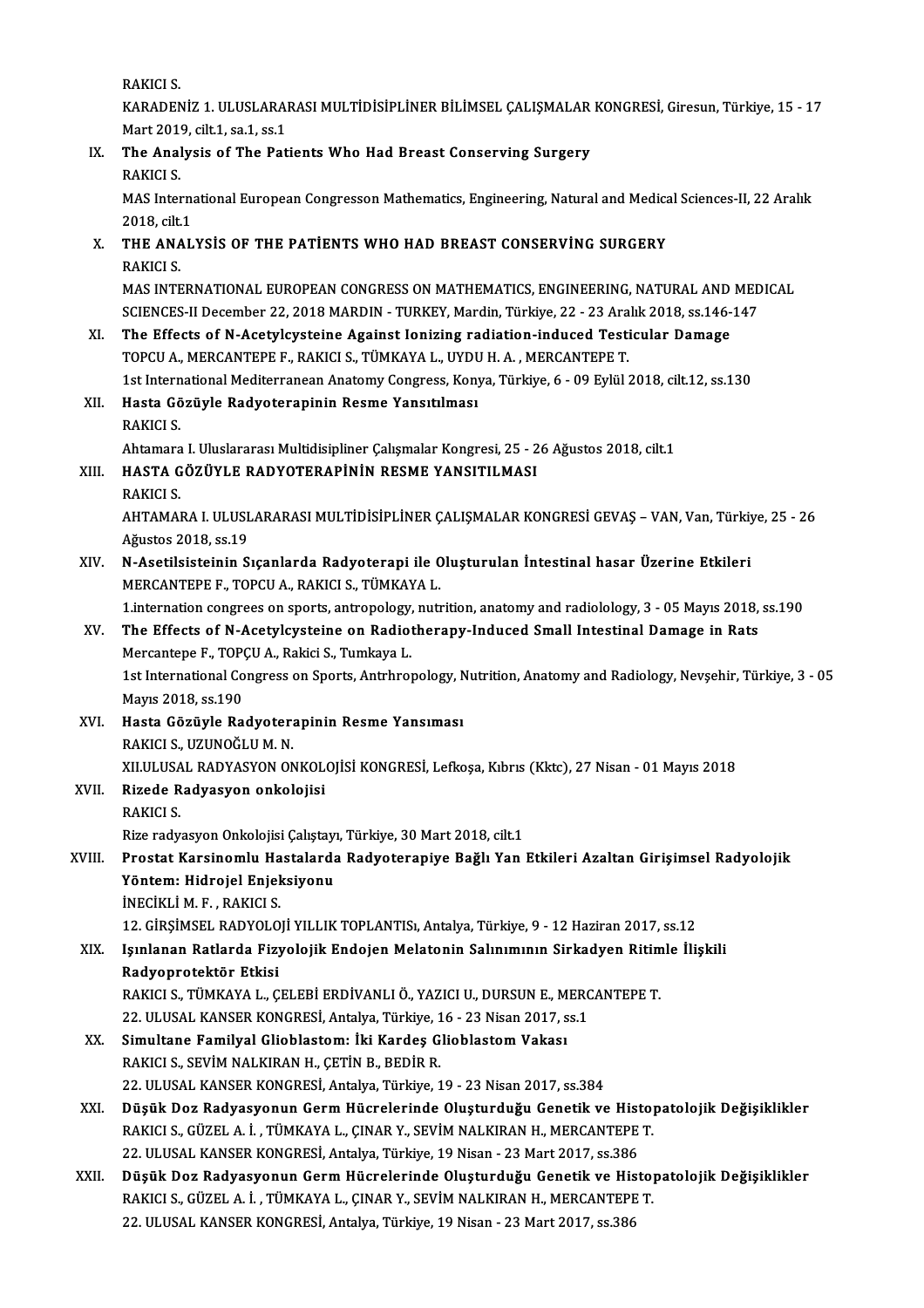RAKICI S.

RAKICI S.<br>KARADENİZ 1. ULUSLARARASI MULTİDİSİPLİNER BİLİMSEL ÇALIŞMALAR KONGRESİ, Giresun, Türkiye, 15 - 17<br>Mart 2010, silt 1, ss 1, ss 1 RAKICI S.<br>KARADENİZ 1. ULUSLARAI<br>Mart 2019, cilt.1, sa.1, ss.1<br>The Analysis of The Pet KARADENİZ 1. ULUSLARARASI MULTİDİSİPLİNER BİLİMSEL ÇALIŞMALAR<br>Mart 2019, cilt.1, sa.1, ss.1<br>IX. The Analysis of The Patients Who Had Breast Conserving Surgery<br>PAKICI S

# Mart 2014<br>**The Anal<br>RAKICI S.**<br>MAS Inter

The Analysis of The Patients Who Had Breast Conserving Surgery<br>RAKICI S.<br>MAS International European Congresson Mathematics, Engineering, Natural and Medical Sciences-II, 22 Aralık<br>2018.cik1 RAKICI S.<br>MAS Interna<br>2018, cilt.1<br>THE ANAI MAS International European Congresson Mathematics, Engineering, Natural and Medica<br>2018, cilt.1<br>X. THE ANALYSIS OF THE PATIENTS WHO HAD BREAST CONSERVING SURGERY

## 2018, cilt.1<br>
X. THE ANALYSIS OF THE PATIENTS WHO HAD BREAST CONSERVING SURGERY<br>
RAKICI S. THE ANALYSIS OF THE PATIENTS WHO HAD BREAST CONSERVING SURGERY<br>RAKICI S.<br>MAS INTERNATIONAL EUROPEAN CONGRESS ON MATHEMATICS, ENGINEERING, NATURAL AND MEDICAL<br>SCIENCES II Desember 22, 2019 MARDIN , TURKEY Merdin Türkiye, 22

RAKICI S.<br>MAS INTERNATIONAL EUROPEAN CONGRESS ON MATHEMATICS, ENGINEERING, NATURAL AND MED<br>SCIENCES-II December 22, 2018 MARDIN - TURKEY, Mardin, Türkiye, 22 - 23 Aralık 2018, ss.146-147<br>The Effects of N.Asstyleysteine Age SCIENCES-II December 22, 2018 MARDIN - TURKEY, Mardin, Türkiye, 22 - 23 Aralık 2018, ss.146-147

### XI. The Effects of N-Acetylcysteine Against Ionizing radiation-induced Testicular Damage The Effects of N-Acetylcysteine Against Ionizing radiation-induced Testicular Damage<br>TOPCU A., MERCANTEPE F., RAKICI S., TÜMKAYA L., UYDU H. A. , MERCANTEPE T.<br>1st International Mediterranean Anatomy Congress, Konya, Türki

#### XII. Hasta Gözüyle Radyoterapinin Resme Yansıtılması<br>RAKICI S. 1st Intern<br>Hasta Gö<br>RAKICI S.<br>Aktamara Hasta Gözüyle Radyoterapinin Resme Yansıtılması<br>RAKICI S.<br>Ahtamara I. Uluslararası Multidisipliner Çalışmalar Kongresi, 25 - 26 Ağustos 2018, cilt.1<br>HASTA GÖZÜVLE RADYOTERARİNİN RESME YANSITILMASI

### XIII. HASTA GÖZÜYLE RADYOTERAPİNİN RESME YANSITILMASI<br>RAKICI S. Ahtamara<br>HASTA G<br>RAKICI S.<br>AHTAMAL

HASTA GÖZÜYLE RADYOTERAPİNİN RESME YANSITILMASI<br>RAKICI S.<br>AHTAMARA I. ULUSLARARASI MULTİDİSİPLİNER ÇALIŞMALAR KONGRESİ GEVAŞ – VAN, Van, Türkiye, 25 - 26<br>Ağustes 2018, ss.19 RAKICI S.<br>AHTAMARA I. ULUSI<br>Ağustos 2018, ss.19<br>N. Acatilsisteinin S AHTAMARA I. ULUSLARARASI MULTİDİSİPLİNER ÇALIŞMALAR KONGRESİ GEVAŞ – VAN, Van, Türkiy<br>Ağustos 2018, ss.19<br>XIV. N-Asetilsisteinin Sıçanlarda Radyoterapi ile Oluşturulan İntestinal hasar Üzerine Etkileri<br>MERCANTERE E TORCU A

## Ağustos 2018, ss.19<br>N-Asetilsisteinin Sıçanlarda Radyoterapi ile Oluşturulan İntestinal hasar Üzerine Etkileri<br>MERCANTEPE F., TOPCU A., RAKICI S., TÜMKAYA L. N-Asetilsisteinin Sıçanlarda Radyoterapi ile Oluşturulan İntestinal hasar Üzerine Etkileri<br>MERCANTEPE F., TOPCU A., RAKICI S., TÜMKAYA L.<br>1.internation congrees on sports, antropology, nutrition, anatomy and radiolology, 3

### MERCANTEPE F., TOPCU A., RAKICI S., TÜMKAYA L.<br>1.internation congrees on sports, antropology, nutrition, anatomy and radiolology, 3 - 05 Mayıs 2018,<br>XV. The Effects of N-Acetylcysteine on Radiotherapy-Induced Small Intesti 1. internation congrees on sports, antropology,<br>The Effects of N-Acetylcysteine on Radiot<br>Mercantepe F., TOPÇU A., Rakici S., Tumkaya L. The Effects of N-Acetylcysteine on Radiotherapy-Induced Small Intestinal Damage in Rats<br>Mercantepe F., TOPÇU A., Rakici S., Tumkaya L.<br>1st International Congress on Sports, Antrhropology, Nutrition, Anatomy and Radiology,

Mercantepe F., TOP<br>1st International Co<br>Mayıs 2018, ss.190<br>Hasta Gözüyle Ba 1st International Congress on Sports, Antrhropology, N<br>Mayıs 2018, ss.190<br>XVI. Hasta Gözüyle Radyoterapinin Resme Yansıması<br>PAKICI S. UZUNOČULM N

Mayıs 2018, ss.190<br><mark>Hasta Gözüyle Radyoter:</mark><br>RAKICI S., UZUNOĞLU M. N.<br>YU ULUSAL RADYASYON ON RAKICI S., UZUNOĞLU M. N.<br>XII ULUSAL RADYASYON ONKOLOJİSİ KONGRESİ, Lefkoşa, Kıbrıs (Kktc), 27 Nisan - 01 Mayıs 2018 RAKICI S., UZUNOĞLU M. N.<br>XII.ULUSAL RADYASYON ONKOL<br>XVII. RAKICI S

# XILULUSA<br>Rizede R<br>RAKICI S.<br>Rizerodu

RAKICI S.<br>Rize radyasyon Onkolojisi Çalıştayı, Türkiye, 30 Mart 2018, cilt.1

#### RAKICI S.<br>Rize radyasyon Onkolojisi Çalıştayı, Türkiye, 30 Mart 2018, cilt.1<br>XVIII. Prostat Karsinomlu Hastalarda Radyoterapiye Bağlı Yan Etkileri Azaltan Girişimsel Radyolojik<br>Yöntem: Hidneiel Enieksiyen: Rize radyasyon Onkolojisi Çalıştayı<br>Prostat Karsinomlu Hastalarda<br>Yöntem: Hidrojel Enjeksiyonu<br>İNEÇİKLİ M.E., PAKIÇI S Prostat Karsinomlu Ha<br>Yöntem: Hidrojel Enjel<br>İNECİKLİ M. F., RAKICI S.<br>12 CİPSİMSEL BADYOLO Yöntem: Hidrojel Enjeksiyonu<br>İNECİKLİ M. F. , RAKICI S.<br>12. GİRŞİMSEL RADYOLOJİ YILLIK TOPLANTISı, Antalya, Türkiye, 9 - 12 Haziran 2017, ss.12<br>Jevnlanan Patlarda Eisyolojik Endojan Malatanin Salınımının Sirkadyan Pitimle

#### İNECİKLİ M. F. , RAKICI S.<br>12. GİRŞİMSEL RADYOLOJİ YILLIK TOPLANTISı, Antalya, Türkiye, 9 - 12 Haziran 2017, ss.12<br>XIX. Işınlanan Ratlarda Fizyolojik Endojen Melatonin Salınımının Sirkadyen Ritimle İlişkili<br>Radyenratek 12. GİRŞİMSEL RADYOLO<br>Işınlanan Ratlarda Fizy<br>Radyoprotektör Etkisi<br>BAKICLS TÜMKAYAL C Işınlanan Ratlarda Fizyolojik Endojen Melatonin Salınımının Sirkadyen Ritim<br>Radyoprotektör Etkisi<br>RAKICI S., TÜMKAYA L., ÇELEBİ ERDİVANLI Ö., YAZICI U., DURSUN E., MERCANTEPE T.<br>22 HI HSAL KANSER KONCRESİ, Artakıa Türkiye Radyoprotektör Etkisi<br>RAKICI S., TÜMKAYA L., ÇELEBİ ERDİVANLI Ö., YAZICI U., DURSUN E., MERC<br>22. ULUSAL KANSER KONGRESİ, Antalya, Türkiye, 16 - 23 Nisan 2017, ss.1<br>Simultana Familyal Cliablastamı İki Kardas Cliablastam Vak

22. ULUSAL KANSER KONGRESİ, Antalya, Türkiye, 16 - 23 Nisan 2017, ss.1

#### XX. Simultane Familyal Glioblastom: İki Kardeş Glioblastom Vakası<br>RAKICI S., SEVİM NALKIRAN H., CETİN B., BEDİR R. 22.ULUSALKANSERKONGRESİ,Antalya,Türkiye,19 -23Nisan2017, ss.384

- XXI. Düşük Doz Radyasyonun GermHücrelerinde Oluşturduğu Genetik ve Histopatolojik Değişiklikler 22. ULUSAL KANSER KONGRESİ, Antalya, Türkiye, 19 - 23 Nisan 2017, ss.384<br>Düşük Doz Radyasyonun Germ Hücrelerinde Oluşturduğu Genetik ve Histo<sub>l</sub><br>RAKICI S., GÜZEL A. İ. , TÜMKAYA L., ÇINAR Y., SEVİM NALKIRAN H., MERCANTEPE Düşük Doz Radyasyonun Germ Hücrelerinde Oluşturduğu Genetik ve Hist<br>RAKICI S., GÜZEL A. İ. , TÜMKAYA L., ÇINAR Y., SEVİM NALKIRAN H., MERCANTEPE<br>22. ULUSAL KANSER KONGRESİ, Antalya, Türkiye, 19 Nisan - 23 Mart 2017, ss.386 22. ULUSAL KANSER KONGRESİ, Antalya, Türkiye, 19 Nisan - 23 Mart 2017, ss.386
- XXII. Düşük Doz Radyasyonun Germ Hücrelerinde Oluşturduğu Genetik ve Histopatolojik Değişiklikler<br>RAKICI S., GÜZEL A. İ., TÜMKAYA L., ÇINAR Y., SEVİM NALKIRAN H., MERCANTEPE T. 22.ULUSALKANSERKONGRESİ,Antalya,Türkiye,19Nisan-23Mart2017, ss.386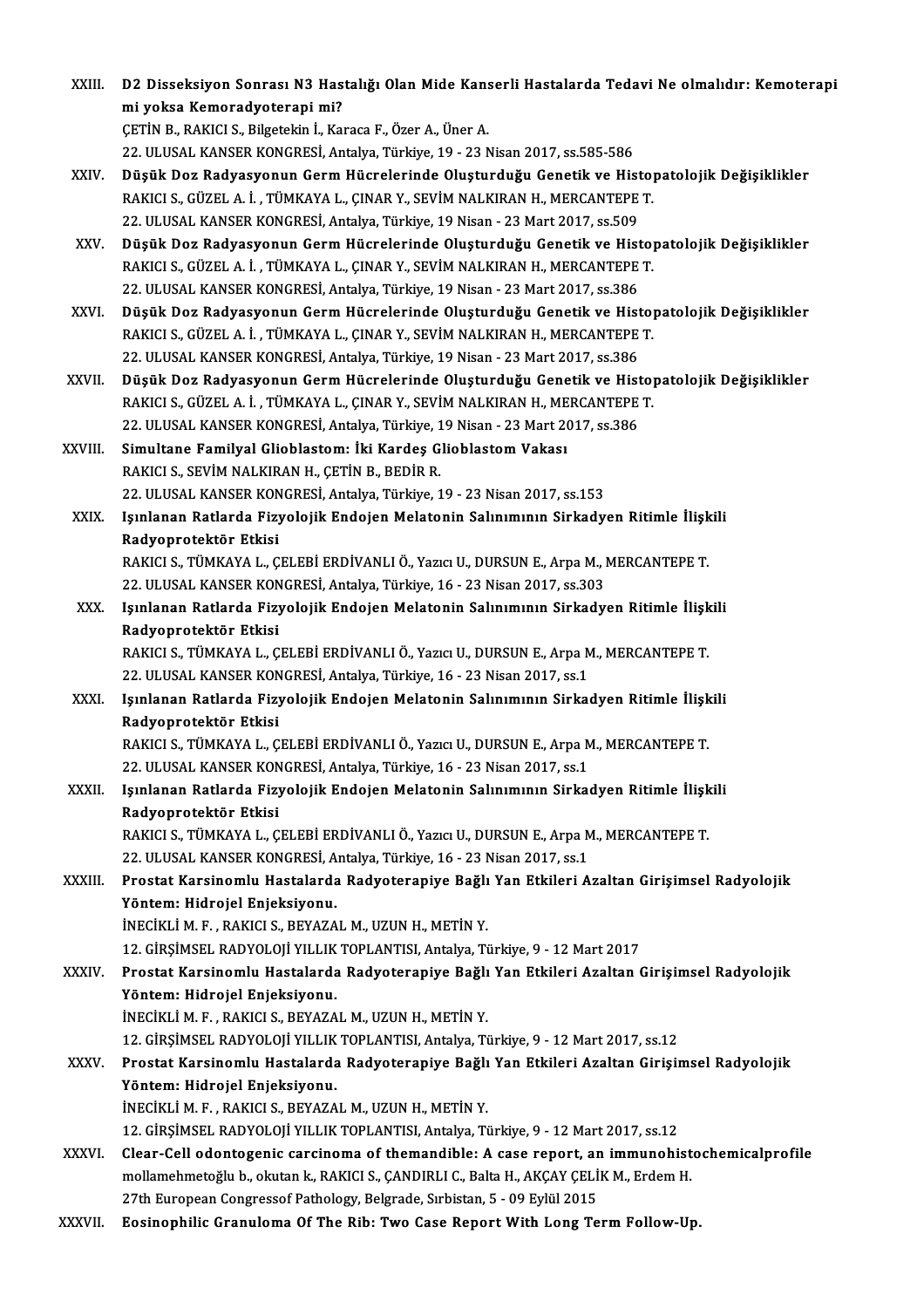| XXIII.       | D2 Disseksiyon Sonrası N3 Hastalığı Olan Mide Kanserli Hastalarda Tedavi Ne olmalıdır: Kemoterapi               |
|--------------|-----------------------------------------------------------------------------------------------------------------|
|              | mi yoksa Kemoradyoterapi mi?                                                                                    |
|              | ÇETİN B., RAKICI S., Bilgetekin İ., Karaca F., Özer A., Üner A.                                                 |
|              | 22. ULUSAL KANSER KONGRESİ, Antalya, Türkiye, 19 - 23 Nisan 2017, ss.585-586                                    |
| XXIV.        | Düşük Doz Radyasyonun Germ Hücrelerinde Oluşturduğu Genetik ve Histopatolojik Değişiklikler                     |
|              | RAKICI S., GÜZEL A. İ., TÜMKAYA L., ÇINAR Y., SEVİM NALKIRAN H., MERCANTEPE T.                                  |
|              | 22. ULUSAL KANSER KONGRESİ, Antalya, Türkiye, 19 Nisan - 23 Mart 2017, ss.509                                   |
| XXV.         | Düşük Doz Radyasyonun Germ Hücrelerinde Oluşturduğu Genetik ve Histopatolojik Değişiklikler                     |
|              | RAKICI S., GÜZEL A. İ., TÜMKAYA L., ÇINAR Y., SEVİM NALKIRAN H., MERCANTEPE T.                                  |
|              | 22. ULUSAL KANSER KONGRESİ, Antalya, Türkiye, 19 Nisan - 23 Mart 2017, ss.386                                   |
| XXVI.        | Düşük Doz Radyasyonun Germ Hücrelerinde Oluşturduğu Genetik ve Histopatolojik Değişiklikler                     |
|              | RAKICI S., GÜZEL A. İ., TÜMKAYA L., ÇINAR Y., SEVİM NALKIRAN H., MERCANTEPE T.                                  |
|              | 22. ULUSAL KANSER KONGRESİ, Antalya, Türkiye, 19 Nisan - 23 Mart 2017, ss.386                                   |
| XXVII.       | Düşük Doz Radyasyonun Germ Hücrelerinde Oluşturduğu Genetik ve Histopatolojik Değişiklikler                     |
|              | RAKICI S., GÜZEL A. İ., TÜMKAYA L., ÇINAR Y., SEVİM NALKIRAN H., MERCANTEPE T.                                  |
|              | 22. ULUSAL KANSER KONGRESİ, Antalya, Türkiye, 19 Nisan - 23 Mart 2017, ss.386                                   |
| XXVIII.      | Simultane Familyal Glioblastom: İki Kardeş Glioblastom Vakası                                                   |
|              | RAKICI S., SEVİM NALKIRAN H., ÇETİN B., BEDİR R.                                                                |
|              | 22. ULUSAL KANSER KONGRESİ, Antalya, Türkiye, 19 - 23 Nisan 2017, ss.153                                        |
| XXIX.        | Işınlanan Ratlarda Fizyolojik Endojen Melatonin Salınımının Sirkadyen Ritimle İlişkili                          |
|              | Radyoprotektör Etkisi                                                                                           |
|              | RAKICI S., TÜMKAYA L., ÇELEBİ ERDİVANLI Ö., Yazıcı U., DURSUN E., Arpa M., MERCANTEPE T.                        |
|              | 22. ULUSAL KANSER KONGRESİ, Antalya, Türkiye, 16 - 23 Nisan 2017, ss.303                                        |
| XXX.         |                                                                                                                 |
|              | Işınlanan Ratlarda Fizyolojik Endojen Melatonin Salınımının Sirkadyen Ritimle İlişkili<br>Radyoprotektör Etkisi |
|              | RAKICI S., TÜMKAYA L., ÇELEBİ ERDİVANLI Ö., Yazıcı U., DURSUN E., Arpa M., MERCANTEPE T.                        |
|              | 22. ULUSAL KANSER KONGRESİ, Antalya, Türkiye, 16 - 23 Nisan 2017, ss.1                                          |
| XXXI.        | Işınlanan Ratlarda Fizyolojik Endojen Melatonin Salınımının Sirkadyen Ritimle İlişkili                          |
|              | Radvoprotektör Etkisi                                                                                           |
|              | RAKICI S., TÜMKAYA L., ÇELEBİ ERDİVANLI Ö., Yazıcı U., DURSUN E., Arpa M., MERCANTEPE T.                        |
|              | 22. ULUSAL KANSER KONGRESİ, Antalya, Türkiye, 16 - 23 Nisan 2017, ss.1                                          |
| XXXII.       | Işınlanan Ratlarda Fizyolojik Endojen Melatonin Salınımının Sirkadyen Ritimle İlişkili                          |
|              | Radyoprotektör Etkisi                                                                                           |
|              | RAKICI S., TÜMKAYA L., ÇELEBİ ERDİVANLI Ö., Yazıcı U., DURSUN E., Arpa M., MERCANTEPE T.                        |
|              | 22. ULUSAL KANSER KONGRESİ, Antalya, Türkiye, 16 - 23 Nisan 2017, ss.1                                          |
| XXXIII.      | Prostat Karsinomlu Hastalarda Radyoterapiye Bağlı Yan Etkileri Azaltan Girişimsel Radyolojik                    |
|              |                                                                                                                 |
|              | Yöntem: Hidrojel Enjeksiyonu.<br>İNECİKLİ M. F., RAKICI S., BEYAZAL M., UZUN H., METİN Y.                       |
|              | 12. GİRŞİMSEL RADYOLOJİ YILLIK TOPLANTISI, Antalya, Türkiye, 9 - 12 Mart 2017                                   |
|              | Prostat Karsinomlu Hastalarda Radyoterapiye Bağlı Yan Etkileri Azaltan Girişimsel Radyolojik                    |
| <b>XXXIV</b> |                                                                                                                 |
|              | Yöntem: Hidrojel Enjeksiyonu.                                                                                   |
|              | İNECİKLİ M. F., RAKICI S., BEYAZAL M., UZUN H., METİN Y.                                                        |
|              | 12. GİRŞİMSEL RADYOLOJİ YILLIK TOPLANTISI, Antalya, Türkiye, 9 - 12 Mart 2017, ss.12                            |
| XXXV.        | Prostat Karsinomlu Hastalarda Radyoterapiye Bağlı Yan Etkileri Azaltan Girişimsel Radyolojik                    |
|              | Yöntem: Hidrojel Enjeksiyonu.                                                                                   |
|              | INECIKLI M. F., RAKICI S., BEYAZAL M., UZUN H., METIN Y.                                                        |
|              | 12. GİRŞİMSEL RADYOLOJİ YILLIK TOPLANTISI, Antalya, Türkiye, 9 - 12 Mart 2017, ss.12                            |
| <b>XXXVI</b> | Clear-Cell odontogenic carcinoma of themandible: A case report, an immunohistochemicalprofile                   |
|              | mollamehmetoğlu b., okutan k., RAKICI S., ÇANDIRLI C., Balta H., AKÇAY ÇELİK M., Erdem H.                       |
|              | 27th European Congressof Pathology, Belgrade, Sırbistan, 5 - 09 Eylül 2015                                      |
| XXXVII.      | Eosinophilic Granuloma Of The Rib: Two Case Report With Long Term Follow-Up.                                    |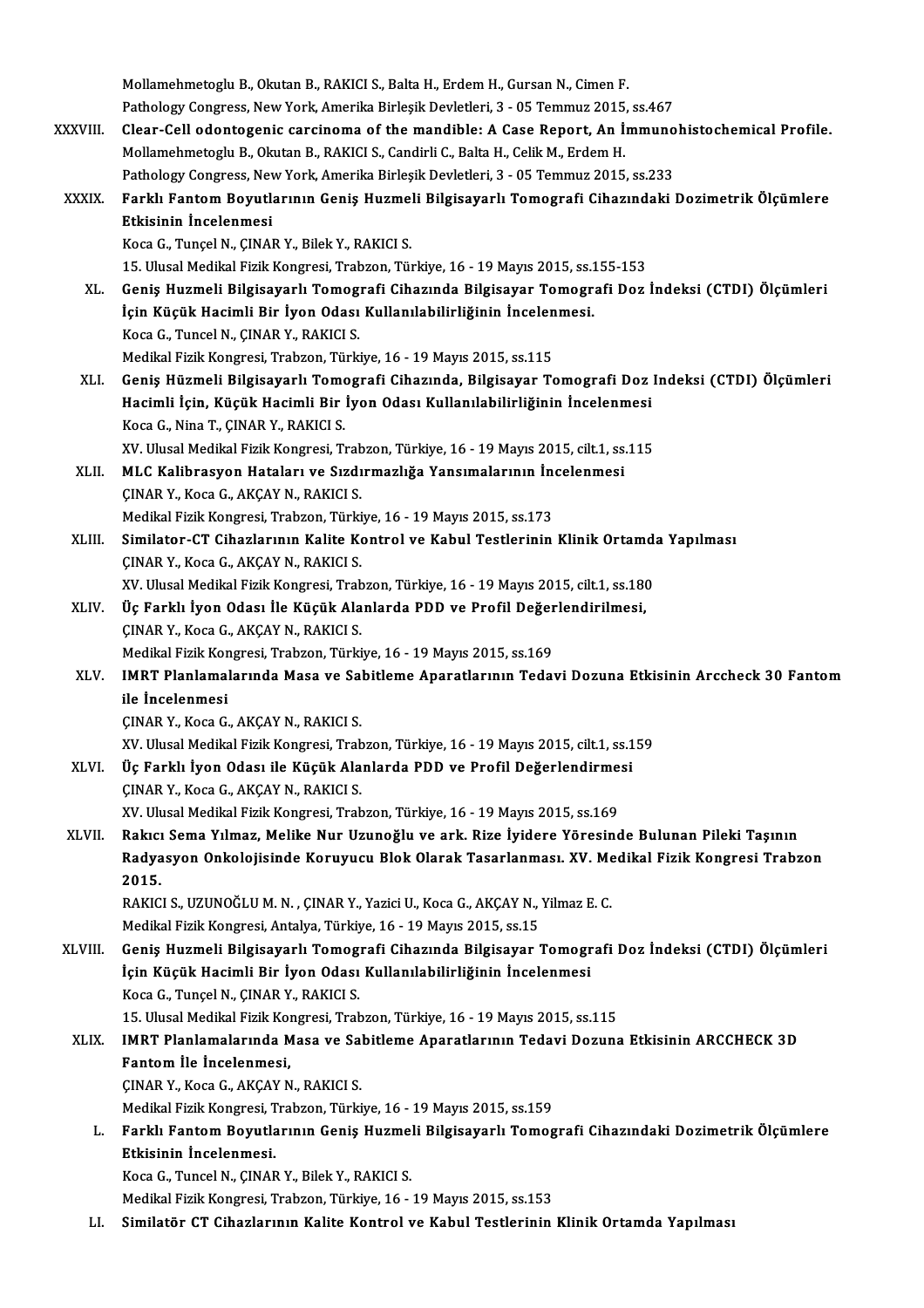|              | Mollamehmetoglu B., Okutan B., RAKICI S., Balta H., Erdem H., Gursan N., Cimen F.                              |
|--------------|----------------------------------------------------------------------------------------------------------------|
|              | Pathology Congress, New York, Amerika Birleşik Devletleri, 3 - 05 Temmuz 2015, ss.467                          |
| XXXVIII.     | Clear-Cell odontogenic carcinoma of the mandible: A Case Report, An Immunohistochemical Profile.               |
|              | Mollamehmetoglu B., Okutan B., RAKICI S., Candirli C., Balta H., Celik M., Erdem H.                            |
|              | Pathology Congress, New York, Amerika Birleşik Devletleri, 3 - 05 Temmuz 2015, ss.233                          |
| <b>XXXIX</b> | Farklı Fantom Boyutlarının Geniş Huzmeli Bilgisayarlı Tomografi Cihazındaki Dozimetrik Ölçümlere               |
|              | Etkisinin İncelenmesi                                                                                          |
|              | Koca G., Tunçel N., ÇINAR Y., Bilek Y., RAKICI S.                                                              |
|              | 15. Ulusal Medikal Fizik Kongresi, Trabzon, Türkiye, 16 - 19 Mayıs 2015, ss.155-153                            |
| XL.          | Geniş Huzmeli Bilgisayarlı Tomografi Cihazında Bilgisayar Tomografi Doz İndeksi (CTDI) Ölçümleri               |
|              | İçin Küçük Hacimli Bir İyon Odası Kullanılabilirliğinin İncelenmesi.                                           |
|              | Koca G., Tuncel N., ÇINAR Y., RAKICI S.                                                                        |
|              | Medikal Fizik Kongresi, Trabzon, Türkiye, 16 - 19 Mayıs 2015, ss.115                                           |
| XLI.         | Geniş Hüzmeli Bilgisayarlı Tomografi Cihazında, Bilgisayar Tomografi Doz Indeksi (CTDI) Ölçümleri              |
|              | Hacimli İçin, Küçük Hacimli Bir İyon Odası Kullanılabilirliğinin İncelenmesi                                   |
|              | Koca G., Nina T., ÇINAR Y., RAKICI S.                                                                          |
|              | XV. Ulusal Medikal Fizik Kongresi, Trabzon, Türkiye, 16 - 19 Mayıs 2015, cilt.1, ss.115                        |
| XLII.        | MLC Kalibrasyon Hataları ve Sızdırmazlığa Yansımalarının İncelenmesi                                           |
|              | ÇINAR Y., Koca G., AKÇAY N., RAKICI S.<br>Medikal Fizik Kongresi, Trabzon, Türkiye, 16 - 19 Mayıs 2015, ss.173 |
| XLIII.       | Similator-CT Cihazlarının Kalite Kontrol ve Kabul Testlerinin Klinik Ortamda Yapılması                         |
|              | ÇINAR Y., Koca G., AKÇAY N., RAKICI S.                                                                         |
|              | XV. Ulusal Medikal Fizik Kongresi, Trabzon, Türkiye, 16 - 19 Mayıs 2015, cilt.1, ss.180                        |
| XLIV.        | Üç Farklı İyon Odası İle Küçük Alanlarda PDD ve Profil Değerlendirilmesi,                                      |
|              | ÇINAR Y., Koca G., AKÇAY N., RAKICI S.                                                                         |
|              | Medikal Fizik Kongresi, Trabzon, Türkiye, 16 - 19 Mayıs 2015, ss.169                                           |
| XLV.         | IMRT Planlamalarında Masa ve Sabitleme Aparatlarının Tedavi Dozuna Etkisinin Arccheck 30 Fantom                |
|              | ile Incelenmesi                                                                                                |
|              | CINAR Y., Koca G., AKCAY N., RAKICI S.                                                                         |
|              | XV. Ulusal Medikal Fizik Kongresi, Trabzon, Türkiye, 16 - 19 Mayıs 2015, cilt.1, ss.159                        |
| XLVI.        | Üç Farklı İyon Odası ile Küçük Alanlarda PDD ve Profil Değerlendirmesi                                         |
|              | ÇINAR Y., Koca G., AKÇAY N., RAKICI S.                                                                         |
|              | XV. Ulusal Medikal Fizik Kongresi, Trabzon, Türkiye, 16 - 19 Mayıs 2015, ss.169                                |
| XLVII.       | Rakıcı Sema Yılmaz, Melike Nur Uzunoğlu ve ark. Rize İyidere Yöresinde Bulunan Pileki Taşının                  |
|              | Radyasyon Onkolojisinde Koruyucu Blok Olarak Tasarlanması. XV. Medikal Fizik Kongresi Trabzon                  |
|              | 2015.                                                                                                          |
|              | RAKICI S., UZUNOĞLU M. N., ÇINAR Y., Yazici U., Koca G., AKÇAY N., Yilmaz E. C.                                |
|              | Medikal Fizik Kongresi, Antalya, Türkiye, 16 - 19 Mayıs 2015, ss.15                                            |
| XLVIII.      | Geniş Huzmeli Bilgisayarlı Tomografi Cihazında Bilgisayar Tomografi Doz İndeksi (CTDI) Ölçümleri               |
|              | İçin Küçük Hacimli Bir İyon Odası Kullanılabilirliğinin İncelenmesi                                            |
|              | Koca G., Tunçel N., ÇINAR Y., RAKICI S.                                                                        |
|              | 15. Ulusal Medikal Fizik Kongresi, Trabzon, Türkiye, 16 - 19 Mayıs 2015, ss.115                                |
| XLIX.        | IMRT Planlamalarında Masa ve Sabitleme Aparatlarının Tedavi Dozuna Etkisinin ARCCHECK 3D                       |
|              | Fantom İle İncelenmesi,                                                                                        |
|              | ÇINAR Y., Koca G., AKÇAY N., RAKICI S.                                                                         |
|              | Medikal Fizik Kongresi, Trabzon, Türkiye, 16 - 19 Mayıs 2015, ss.159                                           |
| L.           | Farklı Fantom Boyutlarının Geniş Huzmeli Bilgisayarlı Tomografi Cihazındaki Dozimetrik Ölçümlere               |
|              | Etkisinin Incelenmesi.                                                                                         |
|              | Koca G., Tuncel N., ÇINAR Y., Bilek Y., RAKICI S.                                                              |
|              | Medikal Fizik Kongresi, Trabzon, Türkiye, 16 - 19 Mayıs 2015, ss.153                                           |
| LI.          | Similatör CT Cihazlarının Kalite Kontrol ve Kabul Testlerinin Klinik Ortamda Yapılması                         |
|              |                                                                                                                |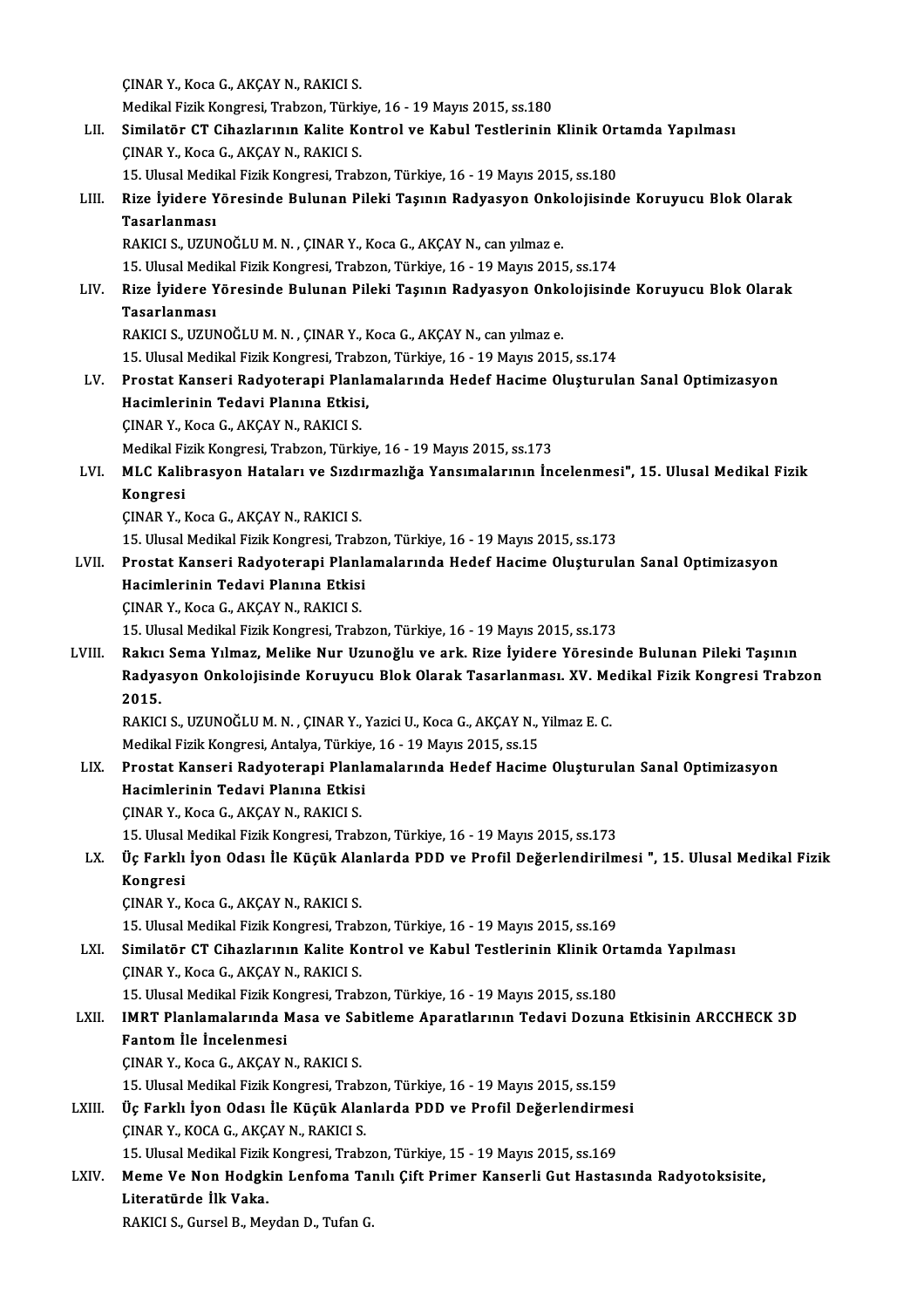ÇINARY.,KocaG.,AKÇAYN.,RAKICI S. Medikal Fizik Kongresi, Trabzon, Türkiye, 16 - 19 Mayıs 2015, ss.180 CINAR Y., Koca G., AKÇAY N., RAKICI S.<br>Medikal Fizik Kongresi, Trabzon, Türkiye, 16 - 19 Mayıs 2015, ss.180<br>LII. Similatör CT Cihazlarının Kalite Kontrol ve Kabul Testlerinin Klinik Ortamda Yapılması Medikal Fizik Kongresi, Trabzon, Türki<br>Similatör CT Cihazlarının Kalite Ko<br>ÇINAR Y., Koca G., AKÇAY N., RAKICI S.<br>15 Ulugal Medikal Fizik Kongresi, Trab Similatör CT Cihazlarının Kalite Kontrol ve Kabul Testlerinin Klinik Ort<br>ÇINAR Y., Koca G., AKÇAY N., RAKICI S.<br>15. Ulusal Medikal Fizik Kongresi, Trabzon, Türkiye, 16 - 19 Mayıs 2015, ss.180<br>Pire İvidere Yöresinde Pulunan ÇINAR Y., Koca G., AKÇAY N., RAKICI S.<br>15. Ulusal Medikal Fizik Kongresi, Trabzon, Türkiye, 16 - 19 Mayıs 2015, ss.180<br>LIII. Rize İyidere Yöresinde Bulunan Pileki Taşının Radyasyon Onkolojisinde Koruyucu Blok Olarak<br>Ta 15. Ulusal Medikal Fizik Kongresi, Trabzon, Türkiye, 16 - 19 Mayıs 2015, ss.180<br>Rize İyidere Yöresinde Bulunan Pileki Taşının Radyasyon Onkolojisino<br>Tasarlanması<br>RAKICI S., UZUNOĞLU M. N. , ÇINAR Y., Koca G., AKÇAY N., can Rize İyidere Yöresinde Bulunan Pileki Taşının Radyasyon Onko<br>Tasarlanması<br>RAKICI S.,UZUNOĞLU M.N. , ÇINAR Y., Koca G., AKÇAY N., can yılmaz e.<br>15 Hlucel Medikal Fizik Kongresi Trabron Türkiye 16, 19 Mayıs 2011 15.UlusalMedikalFizikKongresi,Trabzon,Türkiye,16 -19Mayıs2015, ss.174 RAKICI S., UZUNOĞLU M. N. , ÇINAR Y., Koca G., AKÇAY N., can yılmaz e.<br>15. Ulusal Medikal Fizik Kongresi, Trabzon, Türkiye, 16 - 19 Mayıs 2015, ss.174<br>LIV. Rize İyidere Yöresinde Bulunan Pileki Taşının Radyasyon Onkolo 15. Ulusal Medi<br>Rize İyidere Y<br>Tasarlanması<br>PAKICI S. UZUN Rize İyidere Yöresinde Bulunan Pileki Taşının Radyasyon Onko<br>Tasarlanması<br>RAKICI S., UZUNOĞLU M. N. , ÇINAR Y., Koca G., AKÇAY N., can yılmaz e.<br>15 Hlucel Medikal Firik Kongresi Trabron Türkiye 16, 19 Mayıs 2011 Tasarlanması<br>RAKICI S., UZUNOĞLU M. N. , ÇINAR Y., Koca G., AKÇAY N., can yılmaz e.<br>15. Ulusal Medikal Fizik Kongresi, Trabzon, Türkiye, 16 - 19 Mayıs 2015, ss.174 RAKICI S., UZUNOĞLU M. N. , ÇINAR Y., Koca G., AKÇAY N., can yılmaz e.<br>15. Ulusal Medikal Fizik Kongresi, Trabzon, Türkiye, 16 - 19 Mayıs 2015, ss.174<br>LV. Prostat Kanseri Radyoterapi Planlamalarında Hedef Hacime Oluştu 15. Ulusal Medikal Fizik Kongresi, Trabz<br>Prostat Kanseri Radyoterapi Planla<br>Hacimlerinin Tedavi Planına Etkisi,<br>CINAR V. *Vosa C. AVCA*V N. RA*VIC*I S. Prostat Kanseri Radyoterapi Planl<br>Hacimlerinin Tedavi Planına Etkisi<br>ÇINAR Y., Koca G., AKÇAY N., RAKICI S.<br>Madikal Eizik Kongresi Trabron Türki Hacimlerinin Tedavi Planına Etkisi,<br>ÇINAR Y., Koca G., AKÇAY N., RAKICI S.<br>Medikal Fizik Kongresi, Trabzon, Türkiye, 16 - 19 Mayıs 2015, ss.173<br>MLC Kalihnasyon, Hataları ve Sırdırmarlığa Yansımalarının İn ÇINAR Y., Koca G., AKÇAY N., RAKICI S.<br>Medikal Fizik Kongresi, Trabzon, Türkiye, 16 - 19 Mayıs 2015, ss.173<br>LVI. MLC Kalibrasyon Hataları ve Sızdırmazlığa Yansımalarının İncelenmesi", 15. Ulusal Medikal Fizik<br>Kongresi Medikal Fi<br>MLC Kalil<br>Kongresi<br>CIMAR V ÇINARY.,KocaG.,AKÇAYN.,RAKICI S. Kongresi<br>ÇINAR Y., Koca G., AKÇAY N., RAKICI S.<br>15. Ulusal Medikal Fizik Kongresi, Trabzon, Türkiye, 16 - 19 Mayıs 2015, ss.173<br>Prestat Kanseri, Badyoterani, Blanlamalarında, Hodef Hasime Olusturul: ÇINAR Y., Koca G., AKÇAY N., RAKICI S.<br>15. Ulusal Medikal Fizik Kongresi, Trabzon, Türkiye, 16 - 19 Mayıs 2015, ss.173<br>LVII. Prostat Kanseri Radyoterapi Planlamalarında Hedef Hacime Oluşturulan Sanal Optimizasyon<br>Hacim 15. Ulusal Medikal Fizik Kongresi, Trab:<br>Prostat Kanseri Radyoterapi Planla<br>Hacimlerinin Tedavi Planına Etkisi<br>CINAR V. Kosa C. AKCAV N. RAKICI S Prostat Kanseri Radyoterapi Planl<br>Hacimlerinin Tedavi Planına Etkisi<br>ÇINAR Y., Koca G., AKÇAY N., RAKICI S.<br>15 Ulucal Medikal Fizik Konsresi Trab Hacimlerinin Tedavi Planına Etkisi<br>ÇINAR Y., Koca G., AKÇAY N., RAKICI S.<br>15. Ulusal Medikal Fizik Kongresi, Trabzon, Türkiye, 16 - 19 Mayıs 2015, ss.173 LVIII. Rakıcı Sema Yılmaz, Melike Nur Uzunoğlu ve ark. Rize İyidere Yöresinde Bulunan Pileki Taşının 15. Ulusal Medikal Fizik Kongresi, Trabzon, Türkiye, 16 - 19 Mayıs 2015, ss.173<br>Rakıcı Sema Yılmaz, Melike Nur Uzunoğlu ve ark. Rize İyidere Yöresinde Bulunan Pileki Taşının<br>Radyasyon Onkolojisinde Koruyucu Blok Olarak Tas Rakici<br>Radya<br>2015. Radyasyon Onkolojisinde Koruyucu Blok Olarak Tasarlanması. XV. Me<br>2015.<br>RAKICI S., UZUNOĞLU M. N. , ÇINAR Y., Yazici U., Koca G., AKÇAY N., Yilmaz E. C.<br>Medikal Eizik Kongresi, Antalya Türkiye 16, 19 Mayıs 2015, se 15 2015.<br>RAKICI S., UZUNOĞLU M. N. , ÇINAR Y., Yazici U., Koca G., AKÇAY N., Yilmaz E. C.<br>Medikal Fizik Kongresi, Antalya, Türkiye, 16 - 19 Mayıs 2015, ss.15 LIX. Prostat Kanseri Radyoterapi Planlamalarında Hedef Hacime Oluşturulan Sanal Optimizasyon Medikal Fizik Kongresi, Antalya, Türkiye<br>Prostat Kanseri Radyoterapi Planlı<br>Hacimlerinin Tedavi Planına Etkisi<br>CINAR V. Kosa C. AKCAV N. RAKICI S Prostat Kanseri Radyoterapi Planl<br>Hacimlerinin Tedavi Planına Etkisi<br>ÇINAR Y., Koca G., AKÇAY N., RAKICI S.<br>15 Ulugal Medikal Fizik Kongresi Trah ÇINAR Y., Koca G., AKÇAY N., RAKICI S.<br>15. Ulusal Medikal Fizik Kongresi, Trabzon, Türkiye, 16 - 19 Mayıs 2015, ss.173 ÇINAR Y., Koca G., AKÇAY N., RAKICI S.<br>15. Ulusal Medikal Fizik Kongresi, Trabzon, Türkiye, 16 - 19 Mayıs 2015, ss.173<br>LX. Üç Farklı İyon Odası İle Küçük Alanlarda PDD ve Profil Değerlendirilmesi ", 15. Ulusal Medikal 15. Ulusal<br>Üç Farklı<br>Kongresi Üç Farklı İyon Odası İle Küçük Ala<br>Kongresi<br>ÇINAR Y., Koca G., AKÇAY N., RAKICI S.<br>15 Ulucal Medikal Fizik Kongresi Trah Kongresi<br>ÇINAR Y., Koca G., AKÇAY N., RAKICI S.<br>15. Ulusal Medikal Fizik Kongresi, Trabzon, Türkiye, 16 - 19 Mayıs 2015, ss.169<br>Similatör GT Gibarlarının Kalita Kontrol ve Kabul Testlerinin Klinik Or CINAR Y., Koca G., AKÇAY N., RAKICI S.<br>15. Ulusal Medikal Fizik Kongresi, Trabzon, Türkiye, 16 - 19 Mayıs 2015, ss.169<br>LXI. Similatör CT Cihazlarının Kalite Kontrol ve Kabul Testlerinin Klinik Ortamda Yapılması<br>CINAR Y., K 15. Ulusal Medikal Fizik Kongresi, Trab<br>Similatör CT Cihazlarının Kalite Ko<br>ÇINAR Y., Koca G., AKÇAY N., RAKICI S.<br>15. Ulusal Medikal Fizik Kongresi, Trab Similatör CT Cihazlarının Kalite Kontrol ve Kabul Testlerinin Klinik Ort<br>ÇINAR Y., Koca G., AKÇAY N., RAKICI S.<br>15. Ulusal Medikal Fizik Kongresi, Trabzon, Türkiye, 16 - 19 Mayıs 2015, ss.180<br>IMBT Planlamalarında Masa ve S LXII. IMRT Planlamalarında Masa ve Sabitleme Aparatlarının Tedavi Dozuna Etkisinin ARCCHECK 3D<br>Fantom İle İncelenmesi 15. Ulusal Medikal Fizik Ko<br>IMRT Planlamalarında M<br>Fantom İle İncelenmesi<br>CINAR Y. Kosa C. AKCAYA ÇINARY.,KocaG.,AKÇAYN.,RAKICI S. Fantom İle İncelenmesi<br>ÇINAR Y., Koca G., AKÇAY N., RAKICI S.<br>15. Ulusal Medikal Fizik Kongresi, Trabzon, Türkiye, 16 - 19 Mayıs 2015, ss.159<br>Üe Farklı İyan Odası İle Küsük Alanlarda PDD ve Profil Değerlendirme CINAR Y., Koca G., AKÇAY N., RAKICI S.<br>15. Ulusal Medikal Fizik Kongresi, Trabzon, Türkiye, 16 - 19 Mayıs 2015, ss.159<br>LXIII. Üç Farklı İyon Odası İle Küçük Alanlarda PDD ve Profil Değerlendirmesi 15. Ulusal Medikal Fizik Kongresi, Trab:<br>Üç Farklı İyon Odası İle Küçük Alar<br>ÇINAR Y., KOCA G., AKÇAY N., RAKICI S.<br>15. Ulusal Medikal Fizik Kongresi, Trab: Üç Farklı İyon Odası İle Küçük Alanlarda PDD ve Profil Değerlendirme<br>ÇINAR Y., KOCA G., AKÇAY N., RAKICI S.<br>15. Ulusal Medikal Fizik Kongresi, Trabzon, Türkiye, 15 - 19 Mayıs 2015, ss.169<br>Mama Va Nan Hadskin Lanfama Tanılı CINAR Y., KOCA G., AKÇAY N., RAKICI S.<br>15. Ulusal Medikal Fizik Kongresi, Trabzon, Türkiye, 15 - 19 Mayıs 2015, ss.169<br>LXIV. Meme Ve Non Hodgkin Lenfoma Tanılı Çift Primer Kanserli Gut Hastasında Radyotoksisite,<br>Literatürd 15. Ulusal Medikal Fizik Kongresi, Trabzon, Türkiye, 15 - 19 Mayıs 2015, ss.169 RAKICI S., Gursel B., Meydan D., Tufan G.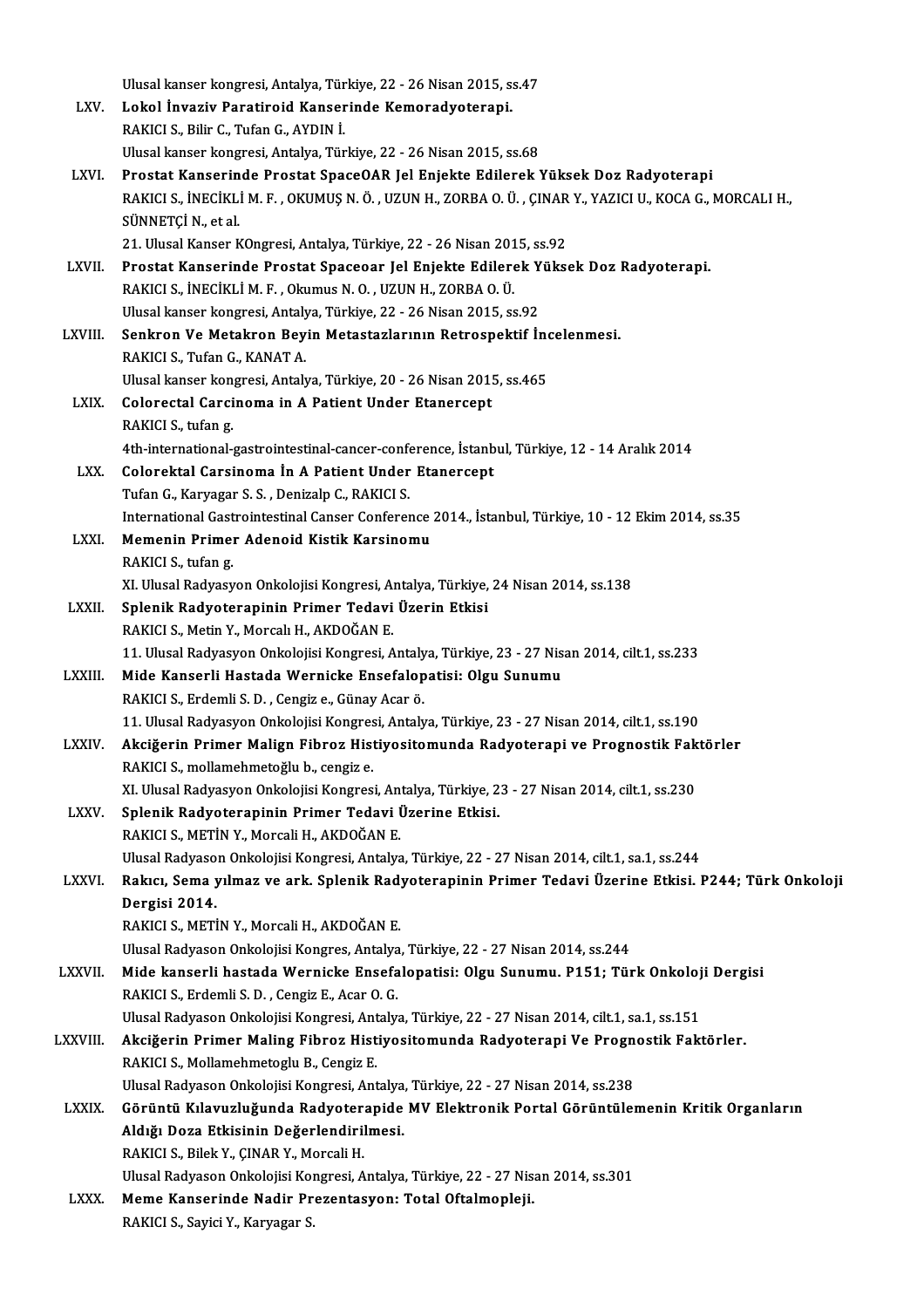|                | Ulusal kanser kongresi, Antalya, Türkiye, 22 - 26 Nisan 2015, ss.47                                                                                |
|----------------|----------------------------------------------------------------------------------------------------------------------------------------------------|
| LXV.           | Lokol İnvaziv Paratiroid Kanserinde Kemoradyoterapi.                                                                                               |
|                | RAKICI S., Bilir C., Tufan G., AYDIN İ.                                                                                                            |
|                | Ulusal kanser kongresi, Antalya, Türkiye, 22 - 26 Nisan 2015, ss.68                                                                                |
| LXVI.          | Prostat Kanserinde Prostat SpaceOAR Jel Enjekte Edilerek Yüksek Doz Radyoterapi                                                                    |
|                | RAKICI S., İNECİKLİ M. F., OKUMUŞ N. Ö., UZUN H., ZORBA O. Ü., ÇINAR Y., YAZICI U., KOCA G., MORCALI H.,                                           |
|                | SÜNNETÇİ N, et al.                                                                                                                                 |
|                | 21. Ulusal Kanser KOngresi, Antalya, Türkiye, 22 - 26 Nisan 2015, ss.92                                                                            |
| LXVII.         | Prostat Kanserinde Prostat Spaceoar Jel Enjekte Edilerek Yüksek Doz Radyoterapi.                                                                   |
|                | RAKICI S., İNECİKLİ M. F., Okumus N. O., UZUN H., ZORBA O. Ü.                                                                                      |
|                | Ulusal kanser kongresi, Antalya, Türkiye, 22 - 26 Nisan 2015, ss.92                                                                                |
| LXVIII.        | Senkron Ve Metakron Beyin Metastazlarının Retrospektif İncelenmesi.                                                                                |
|                | RAKICI S., Tufan G., KANAT A.                                                                                                                      |
|                | Ulusal kanser kongresi, Antalya, Türkiye, 20 - 26 Nisan 2015, ss 465                                                                               |
| LXIX.          | Colorectal Carcinoma in A Patient Under Etanercept                                                                                                 |
|                | RAKICI S., tufan g.                                                                                                                                |
|                | 4th-international-gastrointestinal-cancer-conference, İstanbul, Türkiye, 12 - 14 Aralık 2014                                                       |
| LXX.           | Colorektal Carsinoma In A Patient Under Etanercept                                                                                                 |
|                | Tufan G., Karyagar S. S., Denizalp C., RAKICI S.                                                                                                   |
| LXXI.          | International Gastrointestinal Canser Conference 2014., İstanbul, Türkiye, 10 - 12 Ekim 2014, ss.35<br>Memenin Primer Adenoid Kistik Karsinomu     |
|                | RAKICI S., tufan g                                                                                                                                 |
|                | XI. Ulusal Radyasyon Onkolojisi Kongresi, Antalya, Türkiye, 24 Nisan 2014, ss.138                                                                  |
| <b>LXXII</b>   | Splenik Radyoterapinin Primer Tedavi Üzerin Etkisi                                                                                                 |
|                | RAKICI S., Metin Y., Morcalı H., AKDOĞAN E.                                                                                                        |
|                | 11. Ulusal Radyasyon Onkolojisi Kongresi, Antalya, Türkiye, 23 - 27 Nisan 2014, cilt.1, ss.233                                                     |
| LXXIII.        | Mide Kanserli Hastada Wernicke Ensefalopatisi: Olgu Sunumu                                                                                         |
|                | RAKICI S., Erdemli S. D., Cengiz e., Günay Acar ö.                                                                                                 |
|                | 11. Ulusal Radyasyon Onkolojisi Kongresi, Antalya, Türkiye, 23 - 27 Nisan 2014, cilt.1, ss. 190                                                    |
| <b>LXXIV</b>   | Akciğerin Primer Malign Fibroz Histiyositomunda Radyoterapi ve Prognostik Faktörler                                                                |
|                | RAKICI S., mollamehmetoğlu b., cengiz e.                                                                                                           |
|                | XI. Ulusal Radyasyon Onkolojisi Kongresi, Antalya, Türkiye, 23 - 27 Nisan 2014, cilt.1, ss.230                                                     |
| LXXV.          | Splenik Radyoterapinin Primer Tedavi Üzerine Etkisi.                                                                                               |
|                | RAKICI S., METİN Y., Morcali H., AKDOĞAN E.                                                                                                        |
|                | Ulusal Radyason Onkolojisi Kongresi, Antalya, Türkiye, 22 - 27 Nisan 2014, cilt.1, sa.1, ss.244                                                    |
| LXXVI.         | Rakıcı, Sema yılmaz ve ark. Splenik Radyoterapinin Primer Tedavi Üzerine Etkisi. P244; Türk Onkoloji                                               |
|                | Dergisi 2014.                                                                                                                                      |
|                | RAKICI S., METİN Y., Morcali H., AKDOĞAN E.                                                                                                        |
|                | Ulusal Radyason Onkolojisi Kongres, Antalya, Türkiye, 22 - 27 Nisan 2014, ss.244                                                                   |
| <b>LXXVII</b>  | Mide kanserli hastada Wernicke Ensefalopatisi: Olgu Sunumu. P151; Türk Onkoloji Dergisi                                                            |
|                | RAKICI S., Erdemli S. D., Cengiz E., Acar O. G.<br>Ulusal Radyason Onkolojisi Kongresi, Antalya, Türkiye, 22 - 27 Nisan 2014, cilt.1, sa.1, ss.151 |
| <b>LXXVIII</b> | Akciğerin Primer Maling Fibroz Histiyositomunda Radyoterapi Ve Prognostik Faktörler.                                                               |
|                | RAKICI S., Mollamehmetoglu B., Cengiz E.                                                                                                           |
|                | Ulusal Radyason Onkolojisi Kongresi, Antalya, Türkiye, 22 - 27 Nisan 2014, ss.238                                                                  |
| <b>LXXIX</b>   | Görüntü Kılavuzluğunda Radyoterapide MV Elektronik Portal Görüntülemenin Kritik Organların                                                         |
|                | Aldığı Doza Etkisinin Değerlendirilmesi.                                                                                                           |
|                | RAKICI S., Bilek Y., ÇINAR Y., Morcali H.                                                                                                          |
|                | Ulusal Radyason Onkolojisi Kongresi, Antalya, Türkiye, 22 - 27 Nisan 2014, ss.301                                                                  |
| LXXX.          | Meme Kanserinde Nadir Prezentasyon: Total Oftalmopleji.                                                                                            |
|                | RAKICI S., Sayici Y., Karyagar S.                                                                                                                  |
|                |                                                                                                                                                    |